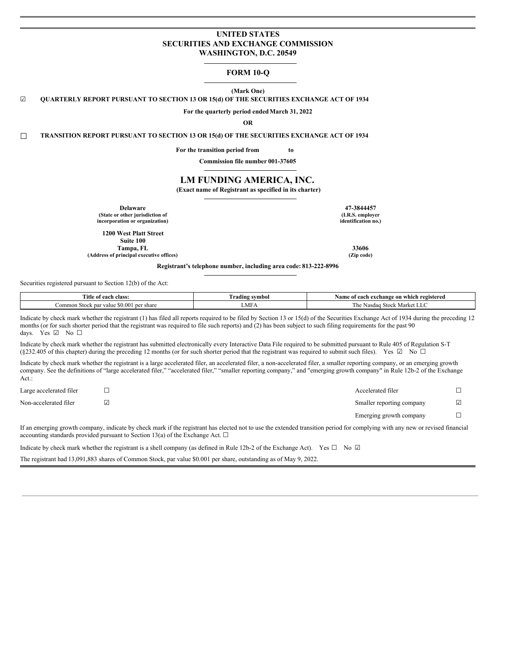# **UNITED STATES SECURITIES AND EXCHANGE COMMISSION WASHINGTON, D.C. 20549**

# **FORM 10-Q**

**(Mark One)**

**☑ QUARTERLY REPORT PURSUANT TO SECTION 13 OR 15(d) OF THE SECURITIES EXCHANGE ACT OF 1934**

**For the quarterly period endedMarch 31, 2022**

**OR**

**☐ TRANSITION REPORT PURSUANT TO SECTION 13 OR 15(d) OF THE SECURITIES EXCHANGE ACT OF 1934**

**For the transition period from to**

**Commission file number 001-37605**

## **LM FUNDING AMERICA, INC.**

**(Exact name of Registrant as specified in its charter)**

**Delaware 47-3844457 (State or other jurisdiction of incorporation or organization) (I.R.S. employer identification no.) 1200 West Platt Street Suite 100 Tampa, FL 33606 (Address of principal executive offices) (Zip code)**

Securities registered pursuant to Section 12(b) of the Act:

| <b>Title of</b><br>each<br>class                                              | rading<br>svmbol | registered<br>vame<br>ı which.<br>-n<br>exchange<br>' each |
|-------------------------------------------------------------------------------|------------------|------------------------------------------------------------|
| 41 L<br>0.4558<br>$\cdots$<br>share<br>nar<br>value<br>ock par .<br>11.1<br>. | . <b>. .</b>     | Stock<br>Market LLC<br>`asdao<br>NK<br>$\mathbf{u}$        |

**Registrant's telephone number, including area code: 813-222-8996**

Indicate by check mark whether the registrant (1) has filed all reports required to be filed by Section 13 or 15(d) of the Securities Exchange Act of 1934 during the preceding 12 months (or for such shorter period that the registrant was required to file such reports) and (2) has been subject to such filing requirements for the past 90 days. Yes ☑ No ☐

Indicate by check mark whether the registrant has submitted electronically every Interactive Data File required to be submitted pursuant to Rule 405 of Regulation S-T (§232.405 of this chapter) during the preceding 12 months (or for such shorter period that the registrant was required to submit such files). Yes  $\boxtimes$  No  $\Box$ 

Indicate by check mark whether the registrant is a large accelerated filer, an accelerated filer, a non-accelerated filer, a smaller reporting company, or an emerging growth company. See the definitions of "large accelerated filer," "accelerated filer," "smaller reporting company," and "emerging growth company" in Rule 12b-2 of the Exchange Act.:

| Large accelerated filer |           | Accelerated filer         |            |
|-------------------------|-----------|---------------------------|------------|
| Non-accelerated filer   | $\sqrt{}$ | Smaller reporting company | $\sqrt{ }$ |
|                         |           | Emerging growth company   |            |

If an emerging growth company, indicate by check mark if the registrant has elected not to use the extended transition period for complying with any new or revised financial accounting standards provided pursuant to Section 13(a) of the Exchange Act.  $\Box$ 

Indicate by check mark whether the registrant is a shell company (as defined in Rule 12b-2 of the Exchange Act). Yes  $\Box$  No  $\Box$ 

The registrant had 13,091,883 shares of Common Stock, par value \$0.001 per share, outstanding as of May 9, 2022.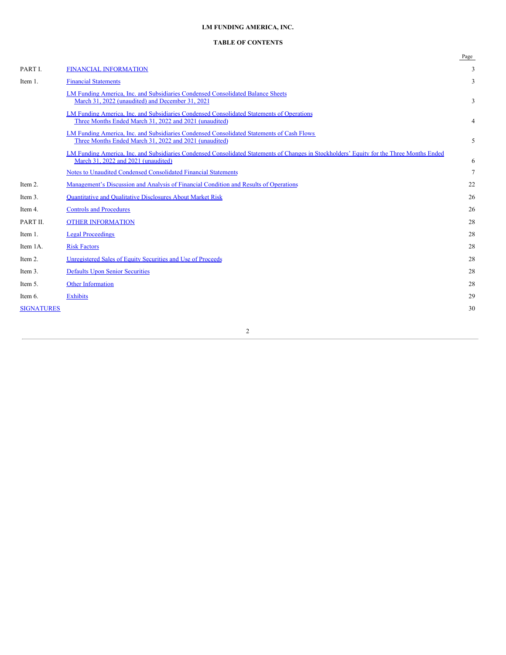# **LM FUNDING AMERICA, INC.**

# **TABLE OF CONTENTS**

|                   |                                                                                                                                                                                  | Page |
|-------------------|----------------------------------------------------------------------------------------------------------------------------------------------------------------------------------|------|
| PART I.           | <b>FINANCIAL INFORMATION</b>                                                                                                                                                     | 3    |
| Item 1.           | <b>Financial Statements</b>                                                                                                                                                      | 3    |
|                   | LM Funding America, Inc. and Subsidiaries Condensed Consolidated Balance Sheets<br>March 31, 2022 (unaudited) and December 31, 2021                                              | 3    |
|                   | LM Funding America, Inc. and Subsidiaries Condensed Consolidated Statements of Operations<br>Three Months Ended March 31, 2022 and 2021 (unaudited)                              | 4    |
|                   | LM Funding America, Inc. and Subsidiaries Condensed Consolidated Statements of Cash Flows<br>Three Months Ended March 31, 2022 and 2021 (unaudited)                              | 5    |
|                   | LM Funding America, Inc. and Subsidiaries Condensed Consolidated Statements of Changes in Stockholders' Equity for the Three Months Ended<br>March 31, 2022 and 2021 (unaudited) | 6    |
|                   | Notes to Unaudited Condensed Consolidated Financial Statements                                                                                                                   | 7    |
| Item 2.           | Management's Discussion and Analysis of Financial Condition and Results of Operations                                                                                            | 22   |
| Item 3.           | <b>Ouantitative and Oualitative Disclosures About Market Risk</b>                                                                                                                | 26   |
| Item 4.           | <b>Controls and Procedures</b>                                                                                                                                                   | 26   |
| PART II.          | <b>OTHER INFORMATION</b>                                                                                                                                                         | 28   |
| Item 1.           | <b>Legal Proceedings</b>                                                                                                                                                         | 28   |
| Item 1A.          | <b>Risk Factors</b>                                                                                                                                                              | 28   |
| Item 2.           | Unregistered Sales of Equity Securities and Use of Proceeds                                                                                                                      | 28   |
| Item 3.           | <b>Defaults Upon Senior Securities</b>                                                                                                                                           | 28   |
| Item 5.           | Other Information                                                                                                                                                                | 28   |
| Item 6.           | <b>Exhibits</b>                                                                                                                                                                  | 29   |
| <b>SIGNATURES</b> |                                                                                                                                                                                  | 30   |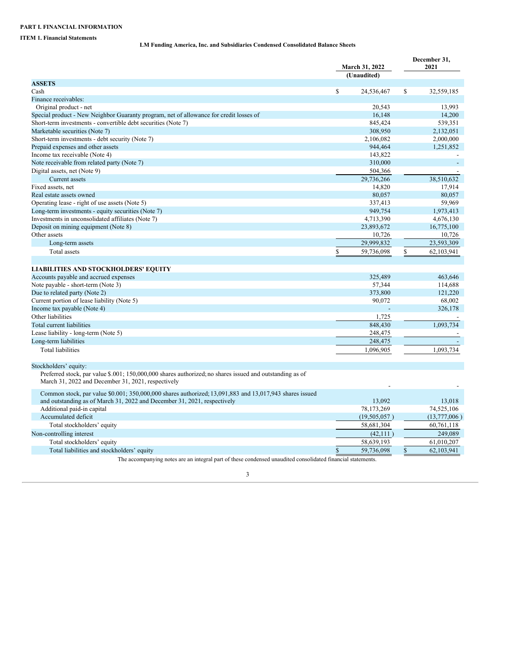# <span id="page-2-0"></span>**PART I. FINANCIAL INFORMATION**

<span id="page-2-1"></span>**ITEM 1. Financial Statements**

# **LM Funding America, Inc. and Subsidiaries Condensed Consolidated Balance Sheets**

|                                                                                                                                                                |              |                | December 31,     |
|----------------------------------------------------------------------------------------------------------------------------------------------------------------|--------------|----------------|------------------|
|                                                                                                                                                                |              | March 31, 2022 | 2021             |
|                                                                                                                                                                |              | (Unaudited)    |                  |
| <b>ASSETS</b>                                                                                                                                                  |              |                |                  |
| Cash                                                                                                                                                           | \$           | 24,536,467     | \$<br>32,559,185 |
| Finance receivables:                                                                                                                                           |              |                |                  |
| Original product - net                                                                                                                                         |              | 20,543         | 13.993           |
| Special product - New Neighbor Guaranty program, net of allowance for credit losses of                                                                         |              | 16,148         | 14,200           |
| Short-term investments - convertible debt securities (Note 7)                                                                                                  |              | 845,424        | 539,351          |
| Marketable securities (Note 7)                                                                                                                                 |              | 308,950        | 2,132,051        |
| Short-term investments - debt security (Note 7)                                                                                                                |              | 2,106,082      | 2,000,000        |
| Prepaid expenses and other assets                                                                                                                              |              | 944,464        | 1,251,852        |
| Income tax receivable (Note 4)                                                                                                                                 |              | 143,822        |                  |
| Note receivable from related party (Note 7)                                                                                                                    |              | 310,000        |                  |
| Digital assets, net (Note 9)                                                                                                                                   |              | 504,366        |                  |
| <b>Current assets</b>                                                                                                                                          |              | 29,736,266     | 38,510,632       |
| Fixed assets, net                                                                                                                                              |              | 14,820         | 17,914           |
| Real estate assets owned                                                                                                                                       |              | 80,057         | 80,057           |
| Operating lease - right of use assets (Note 5)                                                                                                                 |              | 337,413        | 59,969           |
| Long-term investments - equity securities (Note 7)                                                                                                             |              | 949,754        | 1,973,413        |
| Investments in unconsolidated affiliates (Note 7)                                                                                                              |              | 4,713,390      | 4,676,130        |
| Deposit on mining equipment (Note 8)                                                                                                                           |              | 23,893,672     | 16,775,100       |
| Other assets                                                                                                                                                   |              | 10,726         | 10,726           |
| Long-term assets                                                                                                                                               |              | 29,999,832     | 23,593,309       |
| Total assets                                                                                                                                                   | $\mathbb{S}$ | 59,736,098     | \$<br>62,103,941 |
|                                                                                                                                                                |              |                |                  |
| <b>LIABILITIES AND STOCKHOLDERS' EQUITY</b>                                                                                                                    |              |                |                  |
| Accounts payable and accrued expenses                                                                                                                          |              | 325,489        | 463.646          |
| Note payable - short-term (Note 3)                                                                                                                             |              | 57,344         | 114,688          |
| Due to related party (Note 2)                                                                                                                                  |              | 373,800        | 121,220          |
| Current portion of lease liability (Note 5)                                                                                                                    |              | 90,072         | 68,002           |
| Income tax payable (Note 4)                                                                                                                                    |              |                | 326,178          |
| Other liabilities                                                                                                                                              |              | 1,725          |                  |
| Total current liabilities                                                                                                                                      |              | 848,430        | 1,093,734        |
| Lease liability - long-term (Note 5)                                                                                                                           |              | 248,475        |                  |
|                                                                                                                                                                |              |                |                  |
| Long-term liabilities                                                                                                                                          |              | 248,475        |                  |
| <b>Total liabilities</b>                                                                                                                                       |              | 1,096,905      | 1.093.734        |
| Stockholders' equity:                                                                                                                                          |              |                |                  |
|                                                                                                                                                                |              |                |                  |
| Preferred stock, par value \$.001; 150,000,000 shares authorized; no shares issued and outstanding as of<br>March 31, 2022 and December 31, 2021, respectively |              |                |                  |
| Common stock, par value \$0.001; 350,000,000 shares authorized; 13,091,883 and 13,017,943 shares issued                                                        |              |                |                  |
| and outstanding as of March 31, 2022 and December 31, 2021, respectively                                                                                       |              | 13,092         | 13,018           |
| Additional paid-in capital                                                                                                                                     |              | 78,173,269     | 74,525,106       |
| Accumulated deficit                                                                                                                                            |              | (19,505,057)   | (13,777,006)     |
| Total stockholders' equity                                                                                                                                     |              | 58,681,304     | 60,761,118       |
| Non-controlling interest                                                                                                                                       |              | (42, 111)      | 249,089          |
| Total stockholders' equity                                                                                                                                     |              | 58,639,193     | 61,010,207       |
|                                                                                                                                                                | \$           | 59,736,098     | \$<br>62,103,941 |
| Total liabilities and stockholders' equity                                                                                                                     |              |                |                  |
| The accompanying notes are an integral part of these condensed unaudited consolidated financial statements.                                                    |              |                |                  |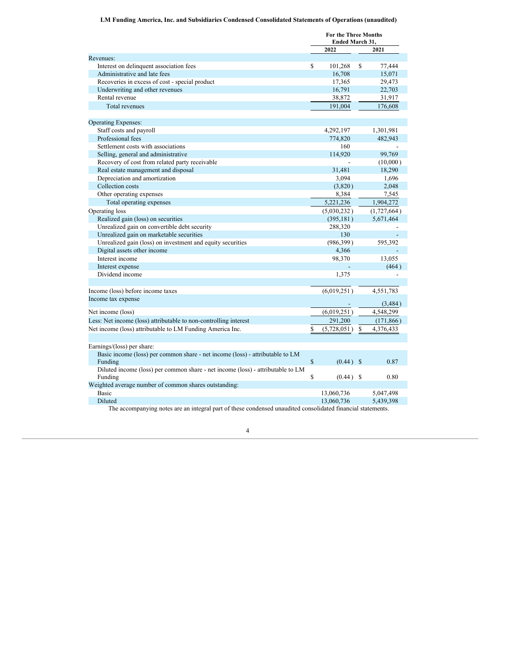# **LM Funding America, Inc. and Subsidiaries Condensed Consolidated Statements of Operations (unaudited)**

<span id="page-3-0"></span>

|                                                                                 | <b>For the Three Months</b><br><b>Ended March 31,</b> |             |    |             |
|---------------------------------------------------------------------------------|-------------------------------------------------------|-------------|----|-------------|
|                                                                                 |                                                       | 2022        |    | 2021        |
| Revenues:                                                                       |                                                       |             |    |             |
| Interest on delinquent association fees                                         | \$                                                    | 101,268     | \$ | 77,444      |
| Administrative and late fees                                                    |                                                       | 16,708      |    | 15,071      |
| Recoveries in excess of cost - special product                                  |                                                       | 17,365      |    | 29,473      |
| Underwriting and other revenues                                                 |                                                       | 16,791      |    | 22,703      |
| Rental revenue                                                                  |                                                       | 38,872      |    | 31,917      |
| <b>Total revenues</b>                                                           |                                                       | 191,004     |    | 176,608     |
| <b>Operating Expenses:</b>                                                      |                                                       |             |    |             |
| Staff costs and payroll                                                         |                                                       | 4,292,197   |    | 1,301,981   |
| Professional fees                                                               |                                                       | 774,820     |    | 482,943     |
| Settlement costs with associations                                              |                                                       | 160         |    |             |
| Selling, general and administrative                                             |                                                       | 114,920     |    | 99,769      |
| Recovery of cost from related party receivable                                  |                                                       |             |    | (10,000)    |
| Real estate management and disposal                                             |                                                       | 31,481      |    | 18,290      |
| Depreciation and amortization                                                   |                                                       | 3,094       |    | 1,696       |
| Collection costs                                                                |                                                       | (3,820)     |    | 2,048       |
| Other operating expenses                                                        |                                                       | 8,384       |    | 7,545       |
| Total operating expenses                                                        |                                                       | 5,221,236   |    | 1,904,272   |
| Operating loss                                                                  |                                                       | (5,030,232) |    | (1,727,664) |
| Realized gain (loss) on securities                                              |                                                       | (395, 181)  |    | 5,671,464   |
| Unrealized gain on convertible debt security                                    |                                                       | 288,320     |    |             |
| Unrealized gain on marketable securities                                        |                                                       | 130         |    |             |
| Unrealized gain (loss) on investment and equity securities                      |                                                       | (986,399)   |    | 595,392     |
| Digital assets other income                                                     |                                                       | 4,366       |    |             |
| Interest income                                                                 |                                                       | 98,370      |    | 13,055      |
| Interest expense                                                                |                                                       |             |    | (464)       |
| Dividend income                                                                 |                                                       | 1,375       |    |             |
|                                                                                 |                                                       |             |    |             |
| Income (loss) before income taxes                                               |                                                       | (6,019,251) |    | 4,551,783   |
| Income tax expense                                                              |                                                       |             |    | (3,484)     |
| Net income (loss)                                                               |                                                       | (6,019,251) |    | 4,548,299   |
| Less: Net income (loss) attributable to non-controlling interest                |                                                       | 291,200     |    | (171, 866)  |
| Net income (loss) attributable to LM Funding America Inc.                       | \$                                                    | (5,728,051) | \$ | 4.376.433   |
|                                                                                 |                                                       |             |    |             |
| Earnings/(loss) per share:                                                      |                                                       |             |    |             |
| Basic income (loss) per common share - net income (loss) - attributable to LM   |                                                       |             |    |             |
| Funding                                                                         | \$                                                    | $(0.44)$ \$ |    | 0.87        |
| Diluted income (loss) per common share - net income (loss) - attributable to LM |                                                       |             |    |             |
| Funding                                                                         | $\mathbf S$                                           | $(0.44)$ \$ |    | 0.80        |
| Weighted average number of common shares outstanding:                           |                                                       |             |    |             |
| <b>Basic</b>                                                                    |                                                       | 13,060,736  |    | 5,047,498   |
| <b>Diluted</b>                                                                  |                                                       | 13,060,736  |    | 5,439,398   |

The accompanying notes are an integral part of these condensed unaudited consolidated financial statements.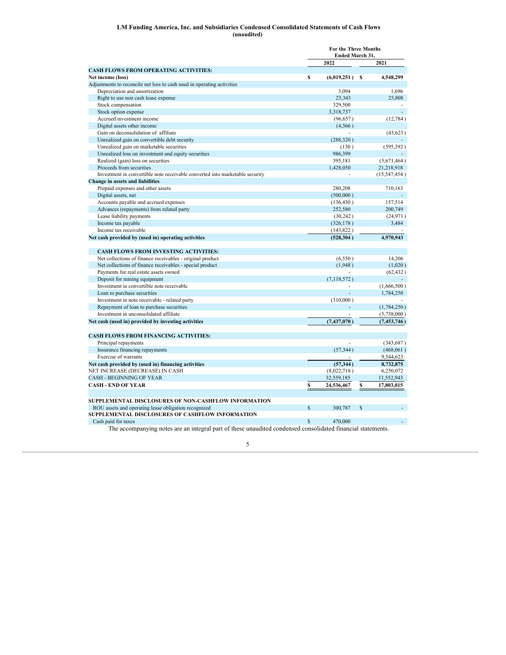#### **LM Funding America, Inc. and Subsidiaries Condensed Consolidated Statements of Cash Flows (unaudited)**

<span id="page-4-0"></span>

|                                                                              | <b>For the Three Months</b><br><b>Ended March 31.</b> |                  |                         |               |
|------------------------------------------------------------------------------|-------------------------------------------------------|------------------|-------------------------|---------------|
|                                                                              |                                                       | 2022             |                         | 2021          |
| <b>CASH FLOWS FROM OPERATING ACTIVITIES:</b>                                 |                                                       |                  |                         |               |
| Net income (loss)                                                            | s                                                     | $(6,019,251)$ \$ |                         | 4,548,299     |
| Adjustments to reconcile net loss to cash used in operating activities       |                                                       |                  |                         |               |
| Depreciation and amortization                                                |                                                       | 3,094            |                         | 1,696         |
| Right to use non cash lease expense                                          |                                                       | 23,343           |                         | 25,808        |
| Stock compensation                                                           |                                                       | 329,500          |                         |               |
| Stock option expense                                                         |                                                       | 3,318,737        |                         |               |
| Accrued investment income                                                    |                                                       | (96, 657)        |                         | (12, 784)     |
| Digital assets other income                                                  |                                                       | (4,366)          |                         |               |
| Gain on deconsolidation of affiliate                                         |                                                       |                  |                         | (43, 623)     |
| Unrealized gain on convertible debt security                                 |                                                       | (288, 320)       |                         |               |
| Unrealized gain on marketable securities                                     |                                                       | (130)            |                         | (595, 392)    |
| Unrealized loss on investment and equity securities                          |                                                       | 986,399          |                         |               |
| Realized (gain) loss on securities                                           |                                                       | 395,181          |                         | (5,671,464)   |
| Proceeds from securities                                                     |                                                       | 1,428,050        |                         | 21,218,918    |
| Investment in convertible note receivable converted into marketable security |                                                       |                  |                         | (15,547,454)  |
| <b>Change in assets and liabilities</b>                                      |                                                       |                  |                         |               |
| Prepaid expenses and other assets                                            |                                                       | 280,208          |                         | 710,163       |
| Digital assets, net                                                          |                                                       | (500,000)        |                         |               |
| Accounts payable and accrued expenses                                        |                                                       | (136, 430)       |                         | 157,514       |
| Advances (repayments) from related party                                     |                                                       | 252,580          |                         | 200,749       |
| Lease liability payments                                                     |                                                       | (30, 242)        |                         | (24, 971)     |
| Income tax payable                                                           |                                                       | (326, 178)       |                         | 3,484         |
| Income tax receivable                                                        |                                                       | (143, 822)       |                         |               |
| Net cash provided by (used in) operating activities                          |                                                       | (528, 304)       |                         | 4,970,943     |
| <b>CASH FLOWS FROM INVESTING ACTIVITIES:</b>                                 |                                                       |                  |                         |               |
|                                                                              |                                                       |                  |                         | 14,206        |
| Net collections of finance receivables - original product                    |                                                       | (6,550)          |                         |               |
| Net collections of finance receivables - special product                     |                                                       | (1,948)          |                         | (1,020)       |
| Payments for real estate assets owned<br>Deposit for mining equipment        |                                                       |                  |                         | (62, 432)     |
|                                                                              |                                                       | (7,118,572)      |                         |               |
| Investment in convertible note receivable                                    |                                                       |                  |                         | (1,666,500)   |
| Loan to purchase securities                                                  |                                                       |                  |                         | 1,784,250     |
| Investment in note receivable - related party                                |                                                       | (310,000)        |                         |               |
| Repayment of loan to purchase securities                                     |                                                       |                  |                         | (1,784,250)   |
| Investment in unconsolidated affiliate                                       |                                                       |                  |                         | (5,738,000)   |
| Net cash (used in) provided by investing activities                          |                                                       | (7,437,070)      |                         | (7, 453, 746) |
| <b>CASH FLOWS FROM FINANCING ACTIVITIES:</b>                                 |                                                       |                  |                         |               |
| Principal repayments                                                         |                                                       |                  |                         | (343, 687)    |
| Insurance financing repayments                                               |                                                       | (57, 344)        |                         | (468, 061)    |
| Exercise of warrants                                                         |                                                       |                  |                         | 9,544,623     |
| Net cash provided by (used in) financing activities                          |                                                       | (57, 344)        |                         | 8,732,875     |
| NET INCREASE (DECREASE) IN CASH                                              |                                                       | (8,022,718)      |                         | 6,250,072     |
| <b>CASH - BEGINNING OF YEAR</b>                                              |                                                       | 32,559,185       |                         | 11,552,943    |
| <b>CASH - END OF YEAR</b>                                                    | \$                                                    | 24,536,467       | $\overline{\mathbf{S}}$ | 17,803,015    |
|                                                                              |                                                       |                  |                         |               |
| SUPPLEMENTAL DISCLOSURES OF NON-CASHFLOW INFORMATION                         |                                                       |                  |                         |               |
| ROU assets and operating lease obligation recognized                         | S                                                     | 300,787          | \$                      |               |
| SUPPLEMENTAL DISCLOSURES OF CASHFLOW INFORMATION                             |                                                       |                  |                         |               |
| Cash paid for taxes                                                          | \$.                                                   | 470,000          |                         |               |

The accompanying notes are an integral part of these unaudited condensed consolidated financial statements.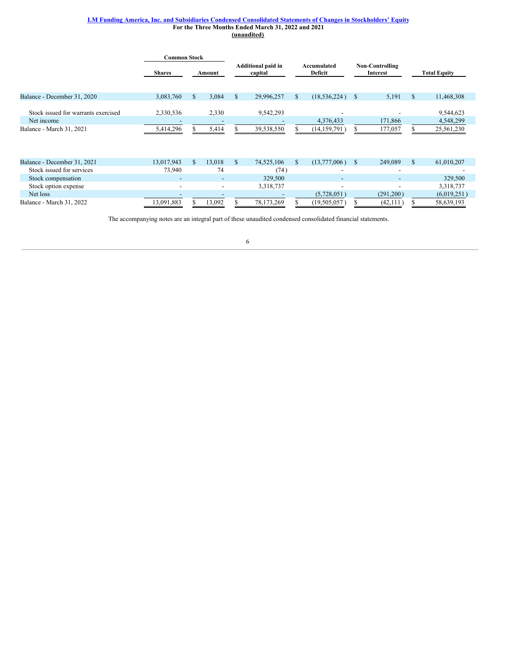#### **LM Funding America, Inc. and Subsidiaries Condensed Consolidated Statements of Changes in [Stockholders'](#page-5-0) Equity For the Three Months Ended March 31, 2022 and 2021 (unaudited)**

<span id="page-5-0"></span>

|                                     | <b>Common Stock</b>          |               |                          |    |                                      |               |                          |    |                             |          |                     |
|-------------------------------------|------------------------------|---------------|--------------------------|----|--------------------------------------|---------------|--------------------------|----|-----------------------------|----------|---------------------|
|                                     | <b>Shares</b>                |               | Amount                   |    | <b>Additional paid in</b><br>capital |               | Accumulated<br>Deficit   |    | Non-Controlling<br>Interest |          | <b>Total Equity</b> |
| Balance - December 31, 2020         | 3,083,760                    | <sup>\$</sup> | 3,084                    | \$ | 29,996,257                           | <sup>\$</sup> | (18, 536, 224)           | \$ | 5,191                       | S        | 11,468,308          |
| Stock issued for warrants exercised | 2,330,536                    |               | 2,330                    |    | 9,542,293                            |               |                          |    |                             |          | 9,544,623           |
| Net income                          |                              |               |                          |    |                                      |               | 4,376,433                |    | 171,866                     |          | 4,548,299           |
| Balance - March 31, 2021            | 5,414,296                    |               | 5,414                    |    | 39,538,550                           |               | (14, 159, 791)           |    | 177,057                     |          | 25,561,230          |
|                                     |                              |               |                          |    |                                      |               |                          |    |                             |          |                     |
| Balance - December 31, 2021         | 13,017,943                   | <sup>\$</sup> | 13,018                   | \$ | 74,525,106                           | <sup>\$</sup> | (13,777,006)             | S  | 249,089                     | <b>S</b> | 61,010,207          |
| Stock issued for services           | 73,940                       |               | 74                       |    | (74)                                 |               |                          |    | ٠                           |          |                     |
| Stock compensation                  | $\qquad \qquad \blacksquare$ |               | $\overline{\phantom{a}}$ |    | 329,500                              |               | $\overline{\phantom{0}}$ |    | $\overline{\phantom{a}}$    |          | 329,500             |
| Stock option expense                | $\overline{\phantom{a}}$     |               | $\overline{\phantom{a}}$ |    | 3,318,737                            |               | ۰                        |    | $\overline{\phantom{0}}$    |          | 3,318,737           |
| Net loss                            |                              |               |                          |    |                                      |               | (5,728,051)              |    | (291, 200)                  |          | (6,019,251)         |
| Balance - March 31, 2022            | 13,091,883                   |               | 13,092                   |    | 78,173,269                           | \$            | (19,505,057)             | S  | (42, 111)                   |          | 58,639,193          |

The accompanying notes are an integral part of these unaudited condensed consolidated financial statements.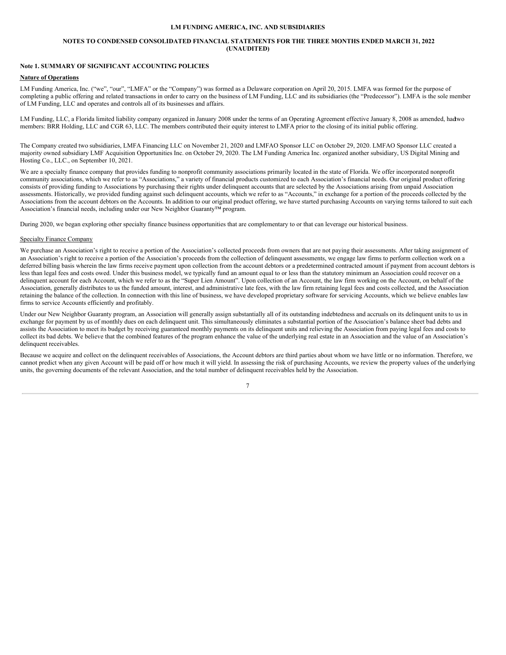## **LM FUNDING AMERICA, INC. AND SUBSIDIARIES**

## **NOTES TO CONDENSED CONSOLIDATED FINANCIAL STATEMENTS FOR THE THREE MONTHS ENDED MARCH 31, 2022 (UNAUDITED)**

## <span id="page-6-0"></span>**Note 1. SUMMARY OF SIGNIFICANT ACCOUNTING POLICIES**

## **Nature of Operations**

LM Funding America, Inc. ("we", "our", "LMFA" or the "Company") was formed as a Delaware corporation on April 20, 2015. LMFA was formed for the purpose of completing a public offering and related transactions in order to carry on the business of LM Funding, LLC and its subsidiaries (the "Predecessor"). LMFA is the sole member of LM Funding, LLC and operates and controls all of its businesses and affairs.

LM Funding, LLC, a Florida limited liability company organized in January 2008 under the terms of an Operating Agreement effective January 8, 2008 as amended, hadtwo members: BRR Holding, LLC and CGR 63, LLC. The members contributed their equity interest to LMFA prior to the closing of its initial public offering.

The Company created two subsidiaries, LMFA Financing LLC on November 21, 2020 and LMFAO Sponsor LLC on October 29, 2020. LMFAO Sponsor LLC created a majority owned subsidiary LMF Acquisition Opportunities Inc. on October 29, 2020. The LM Funding America Inc. organized another subsidiary, US Digital Mining and Hosting Co., LLC., on September 10, 2021.

We are a specialty finance company that provides funding to nonprofit community associations primarily located in the state of Florida. We offer incorporated nonprofit community associations, which we refer to as "Associations," a variety of financial products customized to each Association's financial needs. Our original product offering consists of providing funding to Associations by purchasing their rights under delinquent accounts that are selected by the Associations arising from unpaid Association assessments. Historically, we provided funding against such delinquent accounts, which we refer to as "Accounts," in exchange for a portion of the proceeds collected by the Associations from the account debtors on the Accounts. In addition to our original product offering, we have started purchasing Accounts on varying terms tailored to suit each Association's financial needs, including under our New Neighbor Guaranty™ program.

During 2020, we began exploring other specialty finance business opportunities that are complementary to or that can leverage our historical business.

#### Specialty Finance Company

We purchase an Association's right to receive a portion of the Association's collected proceeds from owners that are not paying their assessments. After taking assignment of an Association's right to receive a portion of the Association's proceeds from the collection of delinquent assessments, we engage law firms to perform collection work on a deferred billing basis wherein the law firms receive payment upon collection from the account debtors or a predetermined contracted amount if payment from account debtors is less than legal fees and costs owed. Under this business model, we typically fund an amount equal to or less than the statutory minimum an Association could recover on a delinquent account for each Account, which we refer to as the "Super Lien Amount". Upon collection of an Account, the law firm working on the Account, on behalf of the Association, generally distributes to us the funded amount, interest, and administrative late fees, with the law firm retaining legal fees and costs collected, and the Association retaining the balance of the collection. In connection with this line of business, we have developed proprietary software for servicing Accounts, which we believe enables law firms to service Accounts efficiently and profitably.

Under our New Neighbor Guaranty program, an Association will generally assign substantially all of its outstanding indebtedness and accruals on its delinquent units to us in exchange for payment by us of monthly dues on each delinquent unit. This simultaneously eliminates a substantial portion of the Association's balance sheet bad debts and assists the Association to meet its budget by receiving guaranteed monthly payments on its delinquent units and relieving the Association from paying legal fees and costs to collect its bad debts. We believe that the combined features of the program enhance the value of the underlying real estate in an Association and the value of an Association's delinquent receivables.

Because we acquire and collect on the delinquent receivables of Associations, the Account debtors are third parties about whom we have little or no information. Therefore, we cannot predict when any given Account will be paid off or how much it will yield. In assessing the risk of purchasing Accounts, we review the property values of the underlying units, the governing documents of the relevant Association, and the total number of delinquent receivables held by the Association.

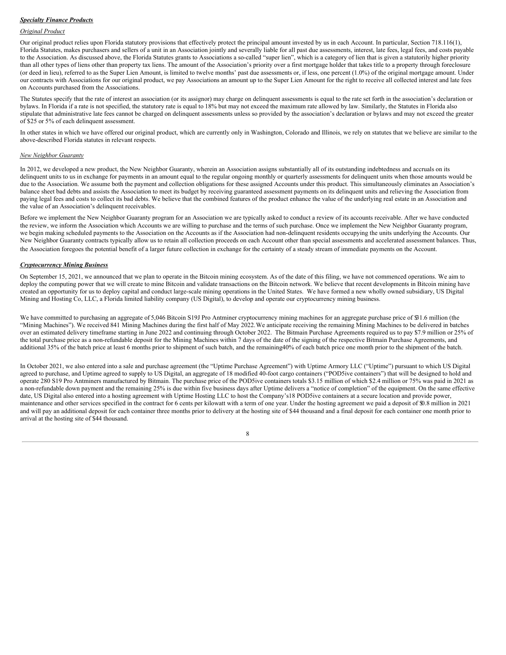## *Specialty Finance Products*

## *Original Product*

Our original product relies upon Florida statutory provisions that effectively protect the principal amount invested by us in each Account. In particular, Section 718.116(1), Florida Statutes, makes purchasers and sellers of a unit in an Association jointly and severally liable for all past due assessments, interest, late fees, legal fees, and costs payable to the Association. As discussed above, the Florida Statutes grants to Associations a so-called "super lien", which is a category of lien that is given a statutorily higher priority than all other types of liens other than property tax liens. The amount of the Association's priority over a first mortgage holder that takes title to a property through foreclosure (or deed in lieu), referred to as the Super Lien Amount, is limited to twelve months' past due assessments or, if less, one percent (1.0%) of the original mortgage amount. Under our contracts with Associations for our original product, we pay Associations an amount up to the Super Lien Amount for the right to receive all collected interest and late fees on Accounts purchased from the Associations.

The Statutes specify that the rate of interest an association (or its assignor) may charge on delinquent assessments is equal to the rate set forth in the association's declaration or bylaws. In Florida if a rate is not specified, the statutory rate is equal to 18% but may not exceed the maximum rate allowed by law. Similarly, the Statutes in Florida also stipulate that administrative late fees cannot be charged on delinquent assessments unless so provided by the association's declaration or bylaws and may not exceed the greater of \$25 or 5% of each delinquent assessment.

In other states in which we have offered our original product, which are currently only in Washington, Colorado and Illinois, we rely on statutes that we believe are similar to the above-described Florida statutes in relevant respects.

### *New Neighbor Guaranty*

In 2012, we developed a new product, the New Neighbor Guaranty, wherein an Association assigns substantially all of its outstanding indebtedness and accruals on its delinquent units to us in exchange for payments in an amount equal to the regular ongoing monthly or quarterly assessments for delinquent units when those amounts would be due to the Association. We assume both the payment and collection obligations for these assigned Accounts under this product. This simultaneously eliminates an Association's balance sheet bad debts and assists the Association to meet its budget by receiving guaranteed assessment payments on its delinquent units and relieving the Association from paying legal fees and costs to collect its bad debts. We believe that the combined features of the product enhance the value of the underlying real estate in an Association and the value of an Association's delinquent receivables.

Before we implement the New Neighbor Guaranty program for an Association we are typically asked to conduct a review of its accounts receivable. After we have conducted the review, we inform the Association which Accounts we are willing to purchase and the terms of such purchase. Once we implement the New Neighbor Guaranty program, we begin making scheduled payments to the Association on the Accounts as if the Association had non-delinquent residents occupying the units underlying the Accounts. Our New Neighbor Guaranty contracts typically allow us to retain all collection proceeds on each Account other than special assessments and accelerated assessment balances. Thus, the Association foregoes the potential benefit of a larger future collection in exchange for the certainty of a steady stream of immediate payments on the Account.

## *Cryptocurrency Mining Business*

On September 15, 2021, we announced that we plan to operate in the Bitcoin mining ecosystem. As of the date of this filing, we have not commenced operations. We aim to deploy the computing power that we will create to mine Bitcoin and validate transactions on the Bitcoin network. We believe that recent developments in Bitcoin mining have created an opportunity for us to deploy capital and conduct large-scale mining operations in the United States. We have formed a new wholly owned subsidiary, US Digital Mining and Hosting Co, LLC, a Florida limited liability company (US Digital), to develop and operate our cryptocurrency mining business.

We have committed to purchasing an aggregate of 5,046 Bitcoin S19J Pro Antminer cryptocurrency mining machines for an aggregate purchase price of \$31.6 million (the "Mining Machines"). We received 841 Mining Machines during the first half of May 2022.We anticipate receiving the remaining Mining Machines to be delivered in batches over an estimated delivery timeframe starting in June 2022 and continuing through October 2022. The Bitmain Purchase Agreements required us to pay \$7.9 million or 25% of the total purchase price as a non-refundable deposit for the Mining Machines within 7 days of the date of the signing of the respective Bitmain Purchase Agreements, and additional 35% of the batch price at least 6 months prior to shipment of such batch, and the remaining40% of each batch price one month prior to the shipment of the batch.

In October 2021, we also entered into a sale and purchase agreement (the "Uptime Purchase Agreement") with Uptime Armory LLC ("Uptime") pursuant to which US Digital agreed to purchase, and Uptime agreed to supply to US Digital, an aggregate of 18 modified 40-foot cargo containers ("POD5ive containers") that will be designed to hold and operate 280 S19 Pro Antminers manufactured by Bitmain. The purchase price of the POD5ive containers totals \$3.15 million of which \$2.4 million or 75% was paid in 2021 as a non-refundable down payment and the remaining 25% is due within five business days after Uptime delivers a "notice of completion" of the equipment. On the same effective date, US Digital also entered into a hosting agreement with Uptime Hosting LLC to host the Company's18 POD5ive containers at a secure location and provide power, maintenance and other services specified in the contract for 6 cents per kilowatt with a term of one year. Under the hosting agreement we paid a deposit of \$0.8 million in 2021 and will pay an additional deposit for each container three months prior to delivery at the hosting site of \$44 thousand and a final deposit for each container one month prior to arrival at the hosting site of \$44 thousand.

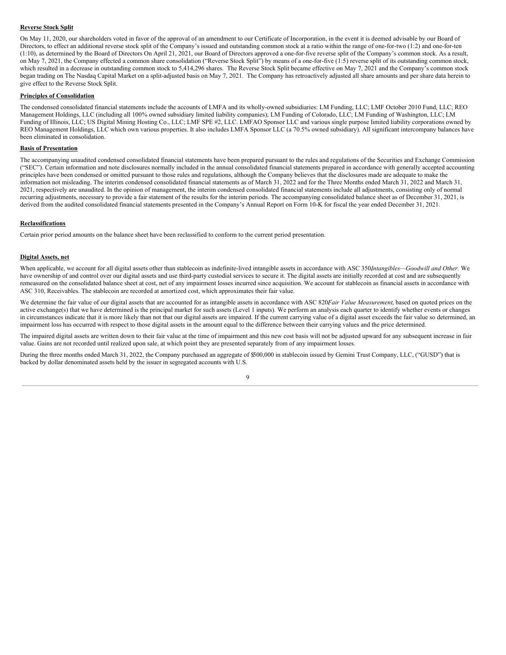## **Reverse Stock Split**

On May 11, 2020, our shareholders voted in favor of the approval of an amendment to our Certificate of Incorporation, in the event it is deemed advisable by our Board of Directors, to effect an additional reverse stock split of the Company's issued and outstanding common stock at a ratio within the range of one-for-two (1:2) and one-for-ten (1:10), as determined by the Board of Directors On April 21, 2021, our Board of Directors approved a one-for-five reverse split of the Company's common stock. As a result, on May 7, 2021, the Company effected a common share consolidation ("Reverse Stock Split") by means of a one-for-five (1:5) reverse split of its outstanding common stock, which resulted in a decrease in outstanding common stock to 5,414,296 shares. The Reverse Stock Split became effective on May 7, 2021 and the Company's common stock began trading on The Nasdaq Capital Market on a split-adjusted basis on May 7, 2021. The Company has retroactively adjusted all share amounts and per share data herein to give effect to the Reverse Stock Split.

## **Principles of Consolidation**

The condensed consolidated financial statements include the accounts of LMFA and its wholly-owned subsidiaries: LM Funding, LLC; LMF October 2010 Fund, LLC; REO Management Holdings, LLC (including all 100% owned subsidiary limited liability companies); LM Funding of Colorado, LLC; LM Funding of Washington, LLC; LM Funding of Illinois, LLC; US Digital Mining Hosting Co., LLC; LMF SPE #2, LLC. LMFAO Sponsor LLC and various single purpose limited liability corporations owned by REO Management Holdings, LLC which own various properties. It also includes LMFA Sponsor LLC (a 70.5% owned subsidiary). All significant intercompany balances have been eliminated in consolidation.

## **Basis of Presentation**

The accompanying unaudited condensed consolidated financial statements have been prepared pursuant to the rules and regulations of the Securities and Exchange Commission ("SEC"). Certain information and note disclosures normally included in the annual consolidated financial statements prepared in accordance with generally accepted accounting principles have been condensed or omitted pursuant to those rules and regulations, although the Company believes that the disclosures made are adequate to make the information not misleading. The interim condensed consolidated financial statements as of March 31, 2022 and for the Three Months ended March 31, 2022 and March 31, 2021, respectively are unaudited. In the opinion of management, the interim condensed consolidated financial statements include all adjustments, consisting only of normal recurring adjustments, necessary to provide a fair statement of the results for the interim periods. The accompanying consolidated balance sheet as of December 31, 2021, is derived from the audited consolidated financial statements presented in the Company's Annual Report on Form 10-K for fiscal the year ended December 31, 2021.

#### **Reclassifications**

Certain prior period amounts on the balance sheet have been reclassified to conform to the current period presentation.

#### **Digital Assets, net**

When applicable, we account for all digital assets other than stablecoin as indefinite-lived intangible assets in accordance with ASC 350,*Intangibles—Goodwill and Other.* We have ownership of and control over our digital assets and use third-party custodial services to secure it. The digital assets are initially recorded at cost and are subsequently remeasured on the consolidated balance sheet at cost, net of any impairment losses incurred since acquisition. We account for stablecoin as financial assets in accordance with ASC 310, Receivables. The stablecoin are recorded at amortized cost, which approximates their fair value.

We determine the fair value of our digital assets that are accounted for as intangible assets in accordance with ASC 820*Fair Value Measurement*, based on quoted prices on the active exchange(s) that we have determined is the principal market for such assets (Level 1 inputs). We perform an analysis each quarter to identify whether events or changes in circumstances indicate that it is more likely than not that our digital assets are impaired. If the current carrying value of a digital asset exceeds the fair value so determined, an impairment loss has occurred with respect to those digital assets in the amount equal to the difference between their carrying values and the price determined.

The impaired digital assets are written down to their fair value at the time of impairment and this new cost basis will not be adjusted upward for any subsequent increase in fair value. Gains are not recorded until realized upon sale, at which point they are presented separately from of any impairment losses.

During the three months ended March 31, 2022, the Company purchased an aggregate of \$500,000 in stablecoin issued by Gemini Trust Company, LLC, ("GUSD") that is backed by dollar denominated assets held by the issuer in segregated accounts with U.S.

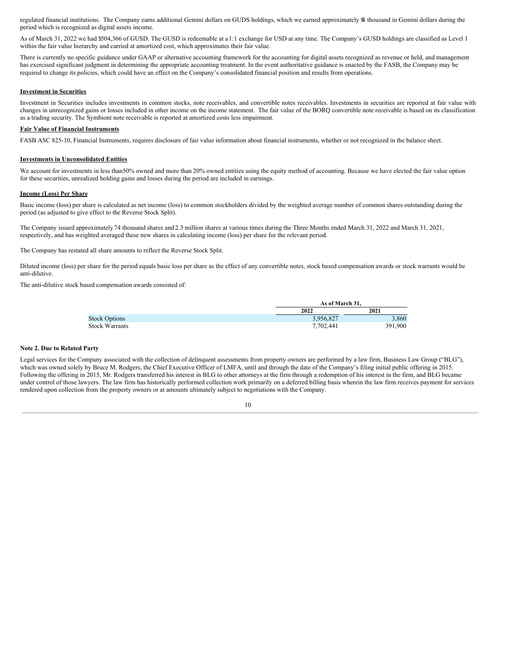regulated financial institutions. The Company earns additional Gemini dollars on GUDS holdings, which we earned approximately \$4 thousand in Gemini dollars during the period which is recognized as digital assets income.

As of March 31, 2022 we had \$504,366 of GUSD. The GUSD is redeemable at a1:1 exchange for USD at any time. The Company's GUSD holdings are classified as Level 1 within the fair value hierarchy and carried at amortized cost, which approximates their fair value.

There is currently no specific guidance under GAAP or alternative accounting framework for the accounting for digital assets recognized as revenue or held, and management has exercised significant judgment in determining the appropriate accounting treatment. In the event authoritative guidance is enacted by the FASB, the Company may be required to change its policies, which could have an effect on the Company's consolidated financial position and results from operations.

## **Investment in Securities**

Investment in Securities includes investments in common stocks, note receivables, and convertible notes receivables. Investments in securities are reported at fair value with changes in unrecognized gains or losses included in other income on the income statement. The fair value of the BORQ convertible note receivable is based on its classification as a trading security. The Symbiont note receivable is reported at amortized costs less impairment.

## **Fair Value of Financial Instruments**

FASB ASC 825-10, Financial Instruments, requires disclosure of fair value information about financial instruments, whether or not recognized in the balance sheet.

#### **Investments in Unconsolidated Entities**

We account for investments in less than50% owned and more than 20% owned entities using the equity method of accounting. Because we have elected the fair value option for these securities, unrealized holding gains and losses during the period are included in earnings.

#### **Income (Loss) Per Share**

Basic income (loss) per share is calculated as net income (loss) to common stockholders divided by the weighted average number of common shares outstanding during the period (as adjusted to give effect to the Reverse Stock Split).

The Company issued approximately 74 thousand shares and 2.3 million shares at various times during the Three Months ended March 31, 2022 and March 31, 2021, respectively, and has weighted averaged these new shares in calculating income (loss) per share for the relevant period.

The Company has restated all share amounts to reflect the Reverse Stock Split.

Diluted income (loss) per share for the period equals basic loss per share as the effect of any convertible notes, stock based compensation awards or stock warrants would be anti-dilutive.

The anti-dilutive stock based compensation awards consisted of:

|                       | As of March 31. |         |
|-----------------------|-----------------|---------|
|                       | 2022            | 2021    |
| <b>Stock Options</b>  | 3.956.827       | 3,860   |
| <b>Stock Warrants</b> | 7,702,441       | 391.900 |

#### **Note 2. Due to Related Party**

Legal services for the Company associated with the collection of delinquent assessments from property owners are performed by a law firm, Business Law Group ("BLG"), which was owned solely by Bruce M. Rodgers, the Chief Executive Officer of LMFA, until and through the date of the Company's filing initial public offering in 2015. Following the offering in 2015, Mr. Rodgers transferred his interest in BLG to other attorneys at the firm through a redemption of his interest in the firm, and BLG became under control of those lawyers. The law firm has historically performed collection work primarily on a deferred billing basis wherein the law firm receives payment for services rendered upon collection from the property owners or at amounts ultimately subject to negotiations with the Company.

| I            |
|--------------|
|              |
| ٦<br>×<br>۰. |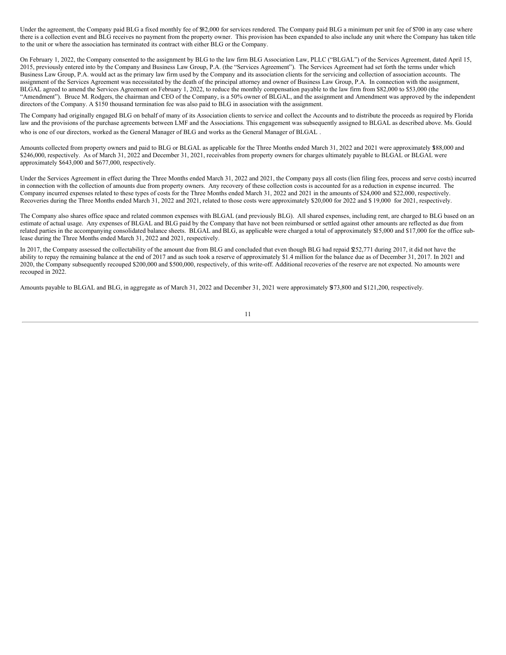Under the agreement, the Company paid BLG a fixed monthly fee of \$82,000 for services rendered. The Company paid BLG a minimum per unit fee of \$700 in any case where there is a collection event and BLG receives no payment from the property owner. This provision has been expanded to also include any unit where the Company has taken title to the unit or where the association has terminated its contract with either BLG or the Company.

On February 1, 2022, the Company consented to the assignment by BLG to the law firm BLG Association Law, PLLC ("BLGAL") of the Services Agreement, dated April 15, 2015, previously entered into by the Company and Business Law Group, P.A. (the "Services Agreement"). The Services Agreement had set forth the terms under which Business Law Group, P.A. would act as the primary law firm used by the Company and its association clients for the servicing and collection of association accounts. The assignment of the Services Agreement was necessitated by the death of the principal attorney and owner of Business Law Group, P.A. In connection with the assignment, BLGAL agreed to amend the Services Agreement on February 1, 2022, to reduce the monthly compensation payable to the law firm from \$82,000 to \$53,000 (the "Amendment"). Bruce M. Rodgers, the chairman and CEO of the Company, is a 50% owner of BLGAL, and the assignment and Amendment was approved by the independent directors of the Company. A \$150 thousand termination fee was also paid to BLG in association with the assignment.

The Company had originally engaged BLG on behalf of many of its Association clients to service and collect the Accounts and to distribute the proceeds as required by Florida law and the provisions of the purchase agreements between LMF and the Associations. This engagement was subsequently assigned to BLGAL as described above. Ms. Gould who is one of our directors, worked as the General Manager of BLG and works as the General Manager of BLGAL.

Amounts collected from property owners and paid to BLG or BLGAL as applicable for the Three Months ended March 31, 2022 and 2021 were approximately \$88,000 and \$246,000, respectively. As of March 31, 2022 and December 31, 2021, receivables from property owners for charges ultimately payable to BLGAL or BLGAL were approximately \$643,000 and \$677,000, respectively.

Under the Services Agreement in effect during the Three Months ended March 31, 2022 and 2021, the Company pays all costs (lien filing fees, process and serve costs) incurred in connection with the collection of amounts due from property owners. Any recovery of these collection costs is accounted for as a reduction in expense incurred. The Company incurred expenses related to these types of costs for the Three Months ended March 31, 2022 and 2021 in the amounts of \$24,000 and \$22,000, respectively. Recoveries during the Three Months ended March 31, 2022 and 2021, related to those costs were approximately \$20,000 for 2022 and \$ 19,000 for 2021, respectively.

The Company also shares office space and related common expenses with BLGAL (and previously BLG). All shared expenses, including rent, are charged to BLG based on an estimate of actual usage. Any expenses of BLGAL and BLG paid by the Company that have not been reimbursed or settled against other amounts are reflected as due from related parties in the accompanying consolidated balance sheets. BLGAL and BLG, as applicable were charged a total of approximately \$15,000 and \$17,000 for the office sublease during the Three Months ended March 31, 2022 and 2021, respectively.

In 2017, the Company assessed the collectability of the amount due from BLG and concluded that even though BLG had repaid \$252,771 during 2017, it did not have the ability to repay the remaining balance at the end of 2017 and as such took a reserve of approximately \$1.4 million for the balance due as of December 31, 2017. In 2021 and 2020, the Company subsequently recouped \$200,000 and \$500,000, respectively, of this write-off. Additional recoveries of the reserve are not expected. No amounts were recouped in 2022.

Amounts payable to BLGAL and BLG, in aggregate as of March 31, 2022 and December 31, 2021 were approximately \$73,800 and \$121,200, respectively.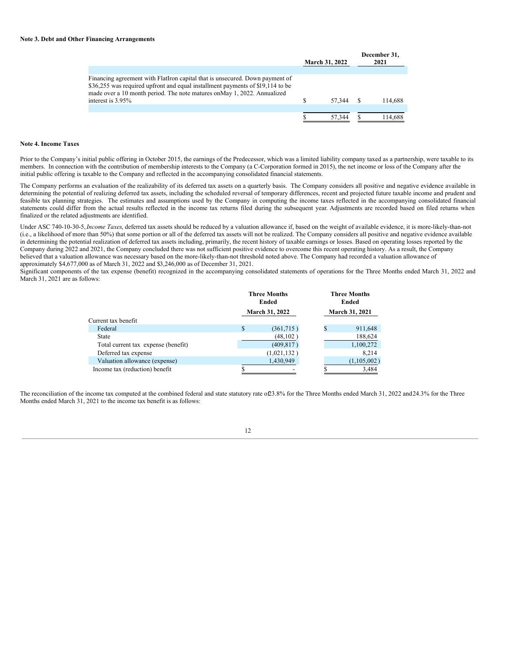|                                                                                                                                                                                                                                                                 | <b>March 31, 2022</b> | December 31,<br>2021 |         |  |
|-----------------------------------------------------------------------------------------------------------------------------------------------------------------------------------------------------------------------------------------------------------------|-----------------------|----------------------|---------|--|
| Financing agreement with FlatIron capital that is unsecured. Down payment of<br>\$36,255 was required upfront and equal installment payments of \$19,114 to be<br>made over a 10 month period. The note matures on May 1, 2022. Annualized<br>interest is 3.95% | 57.344                |                      | 114.688 |  |
|                                                                                                                                                                                                                                                                 | 57.344                |                      | 114.688 |  |

## **Note 4. Income Taxes**

Prior to the Company's initial public offering in October 2015, the earnings of the Predecessor, which was a limited liability company taxed as a partnership, were taxable to its members. In connection with the contribution of membership interests to the Company (a C-Corporation formed in 2015), the net income or loss of the Company after the initial public offering is taxable to the Company and reflected in the accompanying consolidated financial statements.

The Company performs an evaluation of the realizability of its deferred tax assets on a quarterly basis. The Company considers all positive and negative evidence available in determining the potential of realizing deferred tax assets, including the scheduled reversal of temporary differences, recent and projected future taxable income and prudent and feasible tax planning strategies. The estimates and assumptions used by the Company in computing the income taxes reflected in the accompanying consolidated financial statements could differ from the actual results reflected in the income tax returns filed during the subsequent year. Adjustments are recorded based on filed returns when finalized or the related adjustments are identified.

Under ASC 740-10-30-5,*Income Taxes*, deferred tax assets should be reduced by a valuation allowance if, based on the weight of available evidence, it is more-likely-than-not (i.e., a likelihood of more than 50%) that some portion or all of the deferred tax assets will not be realized. The Company considers all positive and negative evidence available in determining the potential realization of deferred tax assets including, primarily, the recent history of taxable earnings or losses. Based on operating losses reported by the Company during 2022 and 2021, the Company concluded there was not sufficient positive evidence to overcome this recent operating history. As a result, the Company believed that a valuation allowance was necessary based on the more-likely-than-not threshold noted above. The Company had recorded a valuation allowance of approximately \$4,677,000 as of March 31, 2022 and \$3,246,000 as of December 31, 2021.

Significant components of the tax expense (benefit) recognized in the accompanying consolidated statements of operations for the Three Months ended March 31, 2022 and March 31, 2021 are as follows:

|                                     | <b>Three Months</b><br>Ended |                       | <b>Three Months</b><br>Ended |             |  |
|-------------------------------------|------------------------------|-----------------------|------------------------------|-------------|--|
|                                     |                              | <b>March 31, 2022</b> | March 31, 2021               |             |  |
| Current tax benefit                 |                              |                       |                              |             |  |
| Federal                             | S                            | (361,715)             | ъ                            | 911,648     |  |
| State                               |                              | (48, 102)             |                              | 188,624     |  |
| Total current tax expense (benefit) |                              | (409, 817)            |                              | 1,100,272   |  |
| Deferred tax expense                |                              | (1,021,132)           |                              | 8.214       |  |
| Valuation allowance (expense)       |                              | 1,430,949             |                              | (1,105,002) |  |
| Income tax (reduction) benefit      |                              |                       |                              | 3,484       |  |

The reconciliation of the income tax computed at the combined federal and state statutory rate of23.8% for the Three Months ended March 31, 2022 and24.3% for the Three Months ended March 31, 2021 to the income tax benefit is as follows: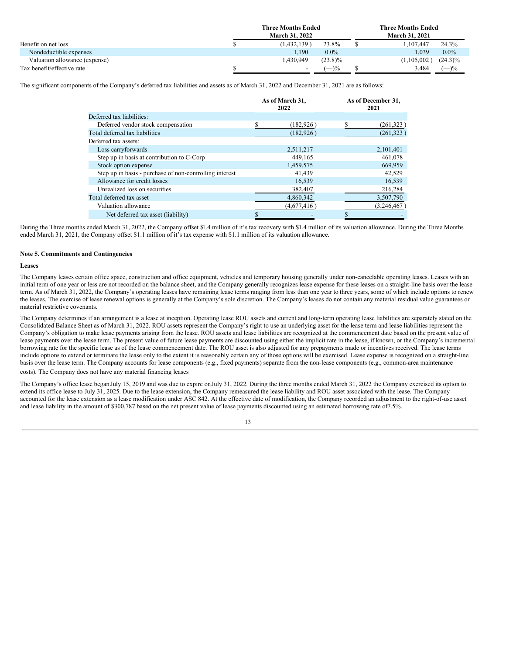|                               | <b>Three Months Ended</b> | <b>Three Months Ended</b> |                       |             |                      |  |  |
|-------------------------------|---------------------------|---------------------------|-----------------------|-------------|----------------------|--|--|
|                               | <b>March 31, 2022</b>     |                           | <b>March 31, 2021</b> |             |                      |  |  |
| Benefit on net loss           | (1, 432, 139)             | 23.8%                     |                       | .107.447    | 24.3%                |  |  |
| Nondeductible expenses        | 1.190                     | $0.0\%$                   |                       | 1.039       | $0.0\%$              |  |  |
| Valuation allowance (expense) | . 430.949                 | $(23.8)\%$                |                       | (1.105.002) | $(24.3)\%$           |  |  |
| Tax benefit/effective rate    |                           | $-$ )%                    |                       | 3.484       | $\rightarrow ^{0}$ % |  |  |

The significant components of the Company's deferred tax liabilities and assets as of March 31, 2022 and December 31, 2021 are as follows:

|                                                         | As of March 31,<br>2022 | As of December 31,<br>2021 |
|---------------------------------------------------------|-------------------------|----------------------------|
| Deferred tax liabilities:                               |                         |                            |
| Deferred vendor stock compensation                      | (182, 926)              | (261, 323)                 |
| Total deferred tax liabilities                          | (182, 926)              | (261, 323)                 |
| Deferred tax assets:                                    |                         |                            |
| Loss carryforwards                                      | 2,511,217               | 2,101,401                  |
| Step up in basis at contribution to C-Corp              | 449.165                 | 461,078                    |
| Stock option expense                                    | 1,459,575               | 669,959                    |
| Step up in basis - purchase of non-controlling interest | 41.439                  | 42,529                     |
| Allowance for credit losses                             | 16,539                  | 16,539                     |
| Unrealized loss on securities                           | 382,407                 | 216,284                    |
| Total deferred tax asset                                | 4,860,342               | 3,507,790                  |
| Valuation allowance                                     | (4,677,416)             | (3,246,467)                |
| Net deferred tax asset (liability)                      |                         |                            |

During the Three months ended March 31, 2022, the Company offset \$1.4 million of it's tax recovery with \$1.4 million of its valuation allowance. During the Three Months ended March 31, 2021, the Company offset \$1.1 million of it's tax expense with \$1.1 million of its valuation allowance.

## **Note 5. Commitments and Contingencies**

#### **Leases**

The Company leases certain office space, construction and office equipment, vehicles and temporary housing generally under non-cancelable operating leases. Leases with an initial term of one year or less are not recorded on the balance sheet, and the Company generally recognizes lease expense for these leases on a straight-line basis over the lease term. As of March 31, 2022, the Company's operating leases have remaining lease terms ranging from less than one year to three years, some of which include options to renew the leases. The exercise of lease renewal options is generally at the Company's sole discretion. The Company's leases do not contain any material residual value guarantees or material restrictive covenants.

The Company determines if an arrangement is a lease at inception. Operating lease ROU assets and current and long-term operating lease liabilities are separately stated on the Consolidated Balance Sheet as of March 31, 2022. ROU assets represent the Company's right to use an underlying asset for the lease term and lease liabilities represent the Company's obligation to make lease payments arising from the lease. ROU assets and lease liabilities are recognized at the commencement date based on the present value of lease payments over the lease term. The present value of future lease payments are discounted using either the implicit rate in the lease, if known, or the Company's incremental borrowing rate for the specific lease as of the lease commencement date. The ROU asset is also adjusted for any prepayments made or incentives received. The lease terms include options to extend or terminate the lease only to the extent it is reasonably certain any of those options will be exercised. Lease expense is recognized on a straight-line basis over the lease term. The Company accounts for lease components (e.g., fixed payments) separate from the non-lease components (e.g., common-area maintenance costs). The Company does not have any material financing leases

The Company's office lease began July 15, 2019 and was due to expire onJuly 31, 2022. During the three months ended March 31, 2022 the Company exercised its option to extend its office lease to July 31, 2025. Due to the lease extension, the Company remeasured the lease liability and ROU asset associated with the lease. The Company accounted for the lease extension as a lease modification under ASC 842. At the effective date of modification, the Company recorded an adjustment to the right-of-use asset and lease liability in the amount of \$300,787 based on the net present value of lease payments discounted using an estimated borrowing rate of7.5%.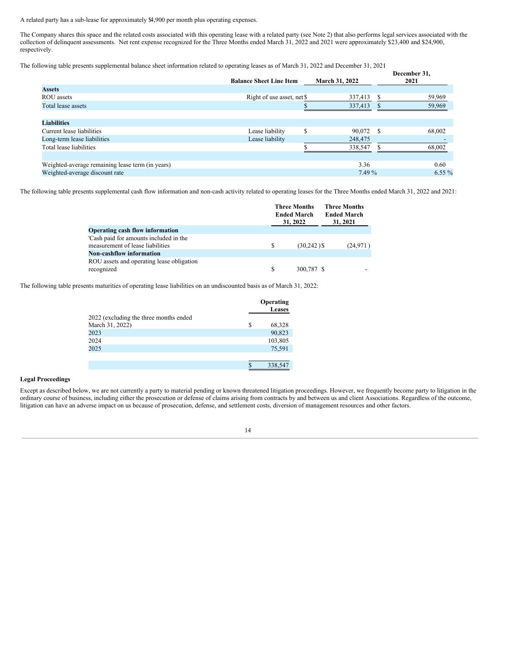A related party has a sub-lease for approximately \$4,900 per month plus operating expenses.

The Company shares this space and the related costs associated with this operating lease with a related party (see Note 2) that also performs legal services associated with the collection of delinquent assessments. Net rent expense recognized for the Three Months ended March 31, 2022 and 2021 were approximately \$23,400 and \$24,900, respectively.

The following table presents supplemental balance sheet information related to operating leases as of March 31, 2022 and December 31, 2021:

|                                                  |                                |                       | December 31, |
|--------------------------------------------------|--------------------------------|-----------------------|--------------|
|                                                  | <b>Balance Sheet Line Item</b> | <b>March 31, 2022</b> | 2021         |
| <b>Assets</b>                                    |                                |                       |              |
| <b>ROU</b> assets                                | Right of use asset, net \$     | 337,413               | S.<br>59,969 |
| Total lease assets                               |                                | 337,413               | 59,969       |
|                                                  |                                |                       |              |
| <b>Liabilities</b>                               |                                |                       |              |
| Current lease liabilities                        | \$<br>Lease liability          | 90,072                | S<br>68,002  |
| Long-term lease liabilities                      | Lease liability                | 248,475               |              |
| Total lease liabilities                          |                                | 338,547               | 68,002       |
|                                                  |                                |                       |              |
| Weighted-average remaining lease term (in years) |                                | 3.36                  | 0.60         |
| Weighted-average discount rate                   |                                | $7.49\%$              | $6.55\%$     |

The following table presents supplemental cash flow information and non-cash activity related to operating leases for the Three Months ended March 31, 2022 and 2021:

|                                                         |   | <b>Three Months</b><br><b>Ended March</b><br>31, 2022 | <b>Three Months</b><br><b>Ended March</b><br>31, 2021 |
|---------------------------------------------------------|---|-------------------------------------------------------|-------------------------------------------------------|
| <b>Operating cash flow information</b>                  |   |                                                       |                                                       |
| 'Cash paid for amounts included in the                  |   |                                                       |                                                       |
| measurement of lease liabilities                        | S | $(30,242)$ \$                                         | (24, 971)                                             |
| <b>Non-cashflow information</b>                         |   |                                                       |                                                       |
| ROU assets and operating lease obligation<br>recognized | S | 300,787 \$                                            |                                                       |

The following table presents maturities of operating lease liabilities on an undiscounted basis as of March 31, 2022:

|                                        |   | Operating<br>Leases |
|----------------------------------------|---|---------------------|
| 2022 (excluding the three months ended |   |                     |
| March 31, 2022)                        | S | 68,328              |
| 2023                                   |   | 90,823              |
| 2024                                   |   | 103,805             |
| 2025                                   |   | 75,591              |
|                                        |   |                     |
|                                        |   | 338,547             |

#### **Legal Proceedings**

Except as described below, we are not currently a party to material pending or known threatened litigation proceedings. However, we frequently become party to litigation in the ordinary course of business, including either the prosecution or defense of claims arising from contracts by and between us and client Associations. Regardless of the outcome, litigation can have an adverse impact on us because of prosecution, defense, and settlement costs, diversion of management resources and other factors.

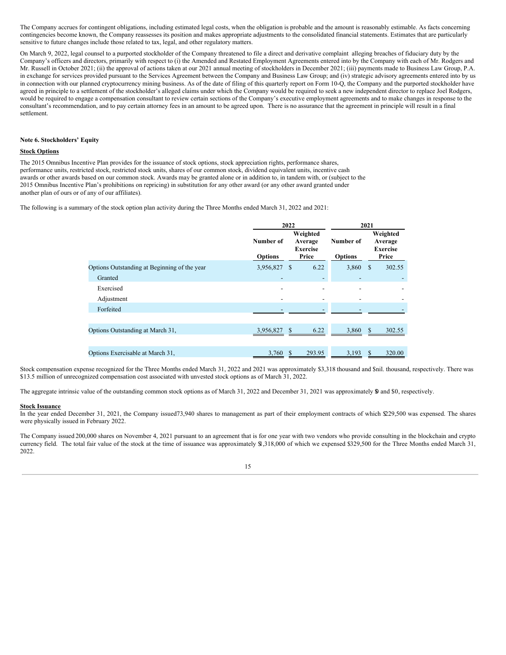The Company accrues for contingent obligations, including estimated legal costs, when the obligation is probable and the amount is reasonably estimable. As facts concerning contingencies become known, the Company reassesses its position and makes appropriate adjustments to the consolidated financial statements. Estimates that are particularly sensitive to future changes include those related to tax, legal, and other regulatory matters.

On March 9, 2022, legal counsel to a purported stockholder of the Company threatened to file a direct and derivative complaint alleging breaches of fiduciary duty by the Company's officers and directors, primarily with respect to (i) the Amended and Restated Employment Agreements entered into by the Company with each of Mr. Rodgers and Mr. Russell in October 2021; (ii) the approval of actions taken at our 2021 annual meeting of stockholders in December 2021; (iii) payments made to Business Law Group, P.A. in exchange for services provided pursuant to the Services Agreement between the Company and Business Law Group; and (iv) strategic advisory agreements entered into by us in connection with our planned cryptocurrency mining business. As of the date of filing of this quarterly report on Form 10-Q, the Company and the purported stockholder have agreed in principle to a settlement of the stockholder's alleged claims under which the Company would be required to seek a new independent director to replace Joel Rodgers, would be required to engage a compensation consultant to review certain sections of the Company's executive employment agreements and to make changes in response to the consultant's recommendation, and to pay certain attorney fees in an amount to be agreed upon. There is no assurance that the agreement in principle will result in a final settlement.

## **Note 6. Stockholders' Equity**

#### **Stock Options**

The 2015 Omnibus Incentive Plan provides for the issuance of stock options, stock appreciation rights, performance shares, performance units, restricted stock, restricted stock units, shares of our common stock, dividend equivalent units, incentive cash awards or other awards based on our common stock. Awards may be granted alone or in addition to, in tandem with, or (subject to the 2015 Omnibus Incentive Plan's prohibitions on repricing) in substitution for any other award (or any other award granted under another plan of ours or of any of our affiliates).

The following is a summary of the stock option plan activity during the Three Months ended March 31, 2022 and 2021:

|                                              |                             | 2022                                            | 2021                        |                                                 |  |  |
|----------------------------------------------|-----------------------------|-------------------------------------------------|-----------------------------|-------------------------------------------------|--|--|
|                                              | Number of<br><b>Options</b> | Weighted<br>Average<br><b>Exercise</b><br>Price | Number of<br><b>Options</b> | Weighted<br>Average<br><b>Exercise</b><br>Price |  |  |
| Options Outstanding at Beginning of the year | 3,956,827                   | 6.22<br><sup>\$</sup>                           | 3,860                       | 302.55<br>S                                     |  |  |
| Granted                                      |                             | ٠                                               |                             |                                                 |  |  |
| Exercised                                    | $\overline{\phantom{a}}$    | ۰                                               |                             |                                                 |  |  |
| Adjustment                                   |                             |                                                 |                             |                                                 |  |  |
| Forfeited                                    |                             |                                                 |                             |                                                 |  |  |
|                                              |                             |                                                 |                             |                                                 |  |  |
| Options Outstanding at March 31,             | 3,956,827                   | 6.22<br>-S                                      | 3,860                       | 302.55<br>S                                     |  |  |
|                                              |                             |                                                 |                             |                                                 |  |  |
| Options Exercisable at March 31,             | 3,760                       | 293.95<br>-S                                    | 3,193                       | 320.00<br>S                                     |  |  |

Stock compensation expense recognized for the Three Months ended March 31, 2022 and 2021 was approximately \$3,318 thousand and \$nil. thousand, respectively. There was \$13.5 million of unrecognized compensation cost associated with unvested stock options as of March 31, 2022.

The aggregate intrinsic value of the outstanding common stock options as of March 31, 2022 and December 31, 2021 was approximately \$0 and \$0, respectively.

#### **Stock Issuance**

In the year ended December 31, 2021, the Company issued73,940 shares to management as part of their employment contracts of which \$229,500 was expensed. The shares were physically issued in February 2022.

The Company issued 200,000 shares on November 4, 2021 pursuant to an agreement that is for one year with two vendors who provide consulting in the blockchain and crypto currency field. The total fair value of the stock at the time of issuance was approximately \$1,318,000 of which we expensed \$329,500 for the Three Months ended March 31, 2022.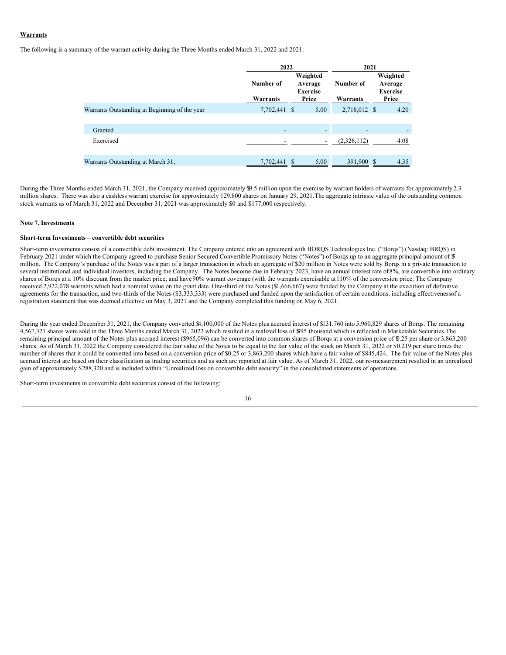## **Warrants**

The following is a summary of the warrant activity during the Three Months ended March 31, 2022 and 2021:

|                                               | 2022                  |  |                                                 | 2021                  |  |                                                 |  |
|-----------------------------------------------|-----------------------|--|-------------------------------------------------|-----------------------|--|-------------------------------------------------|--|
|                                               | Number of<br>Warrants |  | Weighted<br>Average<br><b>Exercise</b><br>Price | Number of<br>Warrants |  | Weighted<br>Average<br><b>Exercise</b><br>Price |  |
| Warrants Outstanding at Beginning of the year | 7,702,441 \$          |  | 5.00                                            | 2,718,012 \$          |  | 4.20                                            |  |
| Granted                                       |                       |  |                                                 |                       |  |                                                 |  |
| Exercised                                     |                       |  |                                                 | (2,326,112)           |  | 4.08                                            |  |
| Warrants Outstanding at March 31.             | 7,702,441             |  | 5.00                                            | 391,900 \$            |  | 4.35                                            |  |

During the Three Months ended March 31, 2021, the Company received approximately \$9.5 million upon the exercise by warrant holders of warrants for approximately 2.3 million shares. There was also a cashless warrant exercise for approximately 129,800 shares on January 29, 2021. The aggregate intrinsic value of the outstanding common stock warrants as of March 31, 2022 and December 31, 2021 was approximately \$0 and \$177,000 respectively.

#### **Note 7. Investments**

## **Short-term Investments – convertible debt securities**

Short-term investments consist of a convertible debt investment. The Company entered into an agreement with BORQS Technologies Inc. ("Borqs") (Nasdaq: BRQS) in February 2021 under which the Company agreed to purchase Senior Secured Convertible Promissory Notes ("Notes") of Borqs up to an aggregate principal amount of \$ million. The Company's purchase of the Notes was a part of a larger transaction in which an aggregate of \$20 million in Notes were sold by Borqs in a private transaction to several institutional and individual investors, including the Company. The Notes become due in February 2023, have an annual interest rate of8%, are convertible into ordinary shares of Borgs at a 10% discount from the market price, and have 90% warrant coverage (with the warrants exercisable at 110% of the conversion price. The Company received 2,922,078 warrants which had a nominal value on the grant date. One-third of the Notes (\$1,666,667) were funded by the Company at the execution of definitive agreements for the transaction, and two-thirds of the Notes (\$3,333,333) were purchased and funded upon the satisfaction of certain conditions, including effectivenessof a registration statement that was deemed effective on May 3, 2021 and the Company completed this funding on May 6, 2021.

During the year ended December 31, 2021, the Company converted \$4,100,000 of the Notes plus accrued interest of \$131,760 into 5,960,829 shares of Borqs. The remaining 4,567,321 shares were sold in the Three Months ended March 31, 2022 which resulted in a realized loss of \$395 thousand which is reflected in Marketable Securities.The remaining principal amount of the Notes plus accrued interest (\$965,096) can be converted into common shares of Borqs at a conversion price of \$0.25 per share or 3,863,200 shares. As of March 31, 2022 the Company considered the fair value of the Notes to be equal to the fair value of the stock on March 31, 2022 or \$0.219 per share times the number of shares that it could be converted into based on a conversion price of \$0.25 or 3,863,200 shares which have a fair value of \$845,424. The fair value of the Notes plus accrued interest are based on their classification as trading securities and as such are reported at fair value. As of March 31, 2022, our re-measurement resulted in an unrealized gain of approximately \$288,320 and is included within "Unrealized loss on convertible debt security" in the consolidated statements of operations.

Short-term investments in convertible debt securities consist of the following: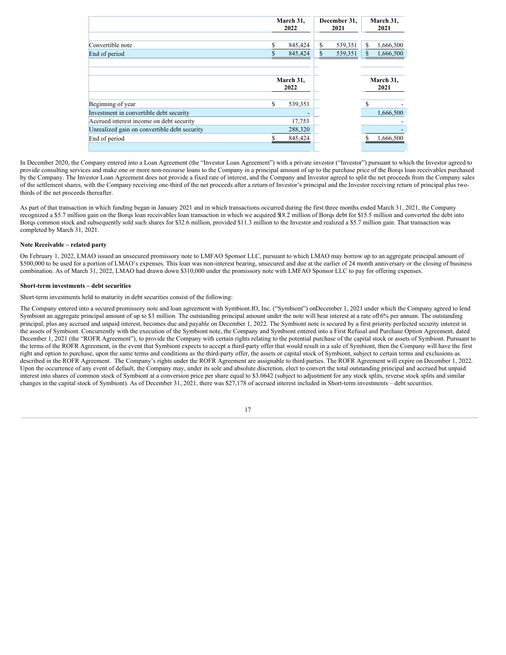| 2022                                         |    | March 31,         |    | December 31,<br>2021 | March 31,<br>2021 |                   |  |
|----------------------------------------------|----|-------------------|----|----------------------|-------------------|-------------------|--|
| Convertible note                             | S  | 845,424           | S  | 539,351              | \$                | 1,666,500         |  |
| End of period                                |    | 845,424           | \$ | 539,351              | \$                | 1,666,500         |  |
|                                              |    | March 31,<br>2022 |    |                      |                   | March 31,<br>2021 |  |
| Beginning of year                            | S. | 539,351           |    |                      | <sup>\$</sup>     |                   |  |
| Investment in convertible debt security      |    |                   |    |                      |                   | 1,666,500         |  |
| Accrued interest income on debt security     |    | 17,753            |    |                      |                   |                   |  |
| Unrealized gain on convertible debt security |    | 288,320           |    |                      |                   |                   |  |
| End of period                                |    | 845,424           |    |                      |                   | 1,666,500         |  |

In December 2020, the Company entered into a Loan Agreement (the "Investor Loan Agreement") with a private investor ("Investor") pursuant to which the Investor agreed to provide consulting services and make one or more non-recourse loans to the Company in a principal amount of up to the purchase price of the Borqs loan receivables purchased by the Company. The Investor Loan Agreement does not provide a fixed rate of interest, and the Company and Investor agreed to split the net proceeds from the Company sales of the settlement shares, with the Company receiving one-third of the net proceeds after a return of Investor's principal and the Investor receiving return of principal plus twothirds of the net proceeds thereafter.

As part of that transaction in which funding began in January 2021 and in which transactions occurred during the first three months ended March 31, 2021, the Company recognized a \$5.7 million gain on the Borqs loan receivables loan transaction in which we acquired \$18.2 million of Borqs debt for \$15.5 million and converted the debt into Borqs common stock and subsequently sold such shares for \$32.6 million, provided \$11.3 million to the Investor and realized a \$5.7 million gain. That transaction was completed by March 31, 2021.

## **Note Receivable – related party**

On February 1, 2022, LMAO issued an unsecured promissory note to LMFAO Sponsor LLC, pursuant to which LMAO may borrow up to an aggregate principal amount of \$500,000 to be used for a portion of LMAO's expenses. This loan was non-interest bearing, unsecured and due at the earlier of 24 month anniversary or the closing of business combination. As of March 31, 2022, LMAO had drawn down \$310,000 under the promissory note with LMFAO Sponsor LLC to pay for offering expenses.

### **Short-term investments – debt securities**

Short-term investments held to maturity in debt securities consist of the following:

The Company entered into a secured promissory note and loan agreement with Symbiont.IO, Inc. ("Symbiont") onDecember 1, 2021 under which the Company agreed to lend Symbiont an aggregate principal amount of up to \$3 million. The outstanding principal amount under the note will bear interest at a rate of16% per annum. The outstanding principal, plus any accrued and unpaid interest, becomes due and payable on December 1, 2022. The Symbiont note is secured by a first priority perfected security interest in the assets of Symbiont. Concurrently with the execution of the Symbiont note, the Company and Symbiont entered into a First Refusal and Purchase Option Agreement, dated December 1, 2021 (the "ROFR Agreement"), to provide the Company with certain rights relating to the potential purchase of the capital stock or assets of Symbiont. Pursuant to the terms of the ROFR Agreement, in the event that Symbiont expects to accept a third-party offer that would result in a sale of Symbiont, then the Company will have the first right and option to purchase, upon the same terms and conditions as the third-party offer, the assets or capital stock of Symbiont, subject to certain terms and exclusions as described in the ROFR Agreement. The Company's rights under the ROFR Agreement are assignable to third parties. The ROFR Agreement will expire on December 1, 2022. Upon the occurrence of any event of default, the Company may, under its sole and absolute discretion, elect to convert the total outstanding principal and accrued but unpaid interest into shares of common stock of Symbiont at a conversion price per share equal to \$3.0642 (subject to adjustment for any stock splits, reverse stock splits and similar changes in the capital stock of Symbiont). As of December 31, 2021, there was \$27,178 of accrued interest included in Short-term investments – debt securities.

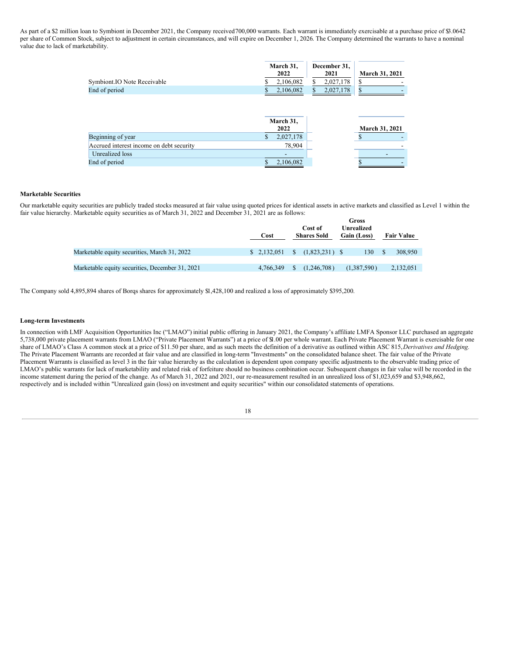As part of a \$2 million loan to Symbiont in December 2021, the Company received 700,000 warrants. Each warrant is immediately exercisable at a purchase price of \$3.0642 per share of Common Stock, subject to adjustment in certain circumstances, and will expire on December 1, 2026. The Company determined the warrants to have a nominal value due to lack of marketability.

|                             | March 31.<br>2022 | December 31.<br>2021 | <b>March 31, 2021</b>    |
|-----------------------------|-------------------|----------------------|--------------------------|
| Symbiont.IO Note Receivable | 2.106.082         | 2.027.178            | $\overline{\phantom{a}}$ |
| End of period               | 2.106.082         | 2.027.178            |                          |

|                                          | March 31,<br>2022        | <b>March 31, 2021</b> |
|------------------------------------------|--------------------------|-----------------------|
| Beginning of year                        | 2,027,178                |                       |
| Accrued interest income on debt security | 78.904                   |                       |
| Unrealized loss                          | $\overline{\phantom{0}}$ |                       |
| End of period                            | 2,106,082                |                       |

## **Marketable Securities**

Our marketable equity securities are publicly traded stocks measured at fair value using quoted prices for identical assets in active markets and classified as Level 1 within the fair value hierarchy. Marketable equity securities as of March 31, 2022 and December 31, 2021 are as follows:

|                                                 | Cost         |              | Cost of<br><b>Shares Sold</b> | Gross<br><b>Unrealized</b><br>Gain (Loss) | <b>Fair Value</b> |
|-------------------------------------------------|--------------|--------------|-------------------------------|-------------------------------------------|-------------------|
| Marketable equity securities, March 31, 2022    | \$ 2,132,051 | <sup>S</sup> | $(1,823,231)$ \$              | 130                                       | 308,950           |
|                                                 |              |              |                               |                                           |                   |
| Marketable equity securities, December 31, 2021 | 4.766.349    |              | (1,246,708)                   | (1,387,590)                               | 2,132,051         |
|                                                 |              |              |                               |                                           |                   |

The Company sold 4,895,894 shares of Borqs shares for approximately \$1,428,100 and realized a loss of approximately \$395,200.

#### **Long-term Investments**

In connection with LMF Acquisition Opportunities Inc ("LMAO") initial public offering in January 2021, the Company's affiliate LMFA Sponsor LLC purchased an aggregate 5,738,000 private placement warrants from LMAO ("Private Placement Warrants") at a price of \$1.00 per whole warrant. Each Private Placement Warrant is exercisable for one share of LMAO's Class A common stock at a price of \$11.50 per share, and as such meets the definition of a derivative as outlined within ASC 815,*Derivatives and Hedging.* The Private Placement Warrants are recorded at fair value and are classified in long-term "Investments" on the consolidated balance sheet. The fair value of the Private Placement Warrants is classified as level 3 in the fair value hierarchy as the calculation is dependent upon company specific adjustments to the observable trading price of LMAO's public warrants for lack of marketability and related risk of forfeiture should no business combination occur. Subsequent changes in fair value will be recorded in the income statement during the period of the change. As of March 31, 2022 and 2021, our re-measurement resulted in an unrealized loss of \$1,023,659 and \$3,948,662, respectively and is included within "Unrealized gain (loss) on investment and equity securities" within our consolidated statements of operations.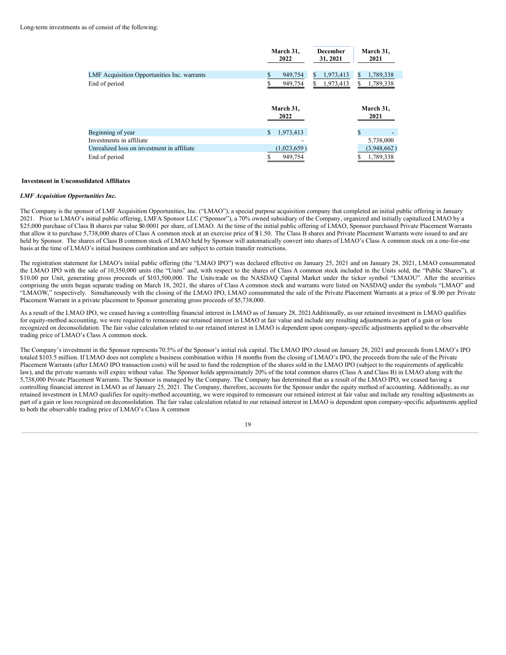|                                                              | March 31,<br>2022  | <b>December</b><br>31, 2021      | March 31,<br>2021                 |
|--------------------------------------------------------------|--------------------|----------------------------------|-----------------------------------|
| LMF Acquisition Opportunities Inc. warrants<br>End of period | 949,754<br>949,754 | 1,973,413<br>S<br>1,973,413<br>S | 1,789,338<br>\$<br>1,789,338<br>S |
|                                                              |                    |                                  |                                   |
|                                                              | March 31,<br>2022  |                                  | March 31,<br>2021                 |
| Beginning of year                                            | 1,973,413<br>\$    |                                  | \$                                |
| Investments in affiliate                                     |                    |                                  | 5,738,000                         |
| Unrealized loss on investment in affiliate                   | (1,023,659)        |                                  | (3,948,662)                       |

## **Investment in Unconsolidated Affiliates**

## *LMF Acquisition Opportunities Inc.*

The Company is the sponsor of LMF Acquisition Opportunities, Inc. ("LMAO"), a special purpose acquisition company that completed an initial public offering in January 2021. Prior to LMAO's initial public offering, LMFA Sponsor LLC ("Sponsor"), a 70% owned subsidiary of the Company, organized and initially capitalized LMAO by a \$25,000 purchase of Class B shares par value \$0.0001 per share, of LMAO. At the time of the initial public offering of LMAO, Sponsor purchased Private Placement Warrants that allow it to purchase 5,738,000 shares of Class A common stock at an exercise price of \$11.50. The Class B shares and Private Placement Warrants were issued to and are held by Sponsor. The shares of Class B common stock of LMAO held by Sponsor will automatically convert into shares of LMAO's Class A common stock on a one-for-one basis at the time of LMAO's initial business combination and are subject to certain transfer restrictions.

The registration statement for LMAO's initial public offering (the "LMAO IPO") was declared effective on January 25, 2021 and on January 28, 2021, LMAO consummated the LMAO IPO with the sale of 10,350,000 units (the "Units" and, with respect to the shares of Class A common stock included in the Units sold, the "Public Shares"), at \$10.00 per Unit, generating gross proceeds of \$103,500,000. The Unitstrade on the NASDAQ Capital Market under the ticker symbol "LMAOU". After the securities comprising the units began separate trading on March 18, 2021, the shares of Class A common stock and warrants were listed on NASDAQ under the symbols "LMAO" and "LMAOW," respectively. Simultaneously with the closing of the LMAO IPO, LMAO consummated the sale of the Private Placement Warrants at a price of \$1.00 per Private Placement Warrant in a private placement to Sponsor generating gross proceeds of \$5,738,000.

As a result of the LMAO IPO, we ceased having a controlling financial interest in LMAO as of January 28, 2021*.* Additionally, as our retained investment in LMAO qualifies for equity-method accounting, we were required to remeasure our retained interest in LMAO at fair value and include any resulting adjustments as part of a gain or loss recognized on deconsolidation. The fair value calculation related to our retained interest in LMAO is dependent upon company-specific adjustments applied to the observable trading price of LMAO's Class A common stock.

The Company's investment in the Sponsor represents 70.5% of the Sponsor's initial risk capital. The LMAO IPO closed on January 28, 2021 and proceeds from LMAO's IPO totaled \$103.5 million. If LMAO does not complete a business combination within 18 months from the closing of LMAO's IPO, the proceeds from the sale of the Private Placement Warrants (after LMAO IPO transaction costs) will be used to fund the redemption of the shares sold in the LMAO IPO (subject to the requirements of applicable law), and the private warrants will expire without value. The Sponsor holds approximately 20% of the total common shares (Class A and Class B) in LMAO along with the 5,738,000 Private Placement Warrants. The Sponsor is managed by the Company. The Company has determined that as a result of the LMAO IPO, we ceased having a controlling financial interest in LMAO as of January 25, 2021. The Company, therefore, accounts for the Sponsor under the equity method of accounting. Additionally, as our retained investment in LMAO qualifies for equity-method accounting, we were required to remeasure our retained interest at fair value and include any resulting adjustments as part of a gain or loss recognized on deconsolidation. The fair value calculation related to our retained interest in LMAO is dependent upon company-specific adjustments applied to both the observable trading price of LMAO's Class A common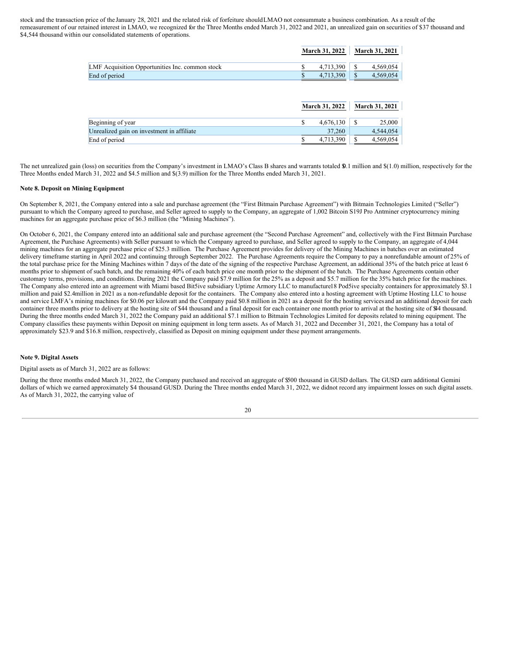stock and the transaction price of the January 28, 2021 and the related risk of forfeiture shouldLMAO not consummate a business combination. As a result of the remeasurement of our retained interest in LMAO, we recognized for the Three Months ended March 31, 2022 and 2021, an unrealized gain on securities of \$37 thousand and \$4,544 thousand within our consolidated statements of operations.

|                                                 | March 31, 2022   March 31, 2021 |           |
|-------------------------------------------------|---------------------------------|-----------|
| LMF Acquisition Opportunities Inc. common stock | 4.713.390                       | 4.569.054 |
| End of period                                   | 4.713.390                       | 4.569.054 |

|                                            | <b>March 31, 2022</b> | <b>March 31, 2021</b> |
|--------------------------------------------|-----------------------|-----------------------|
| Beginning of year                          | 4.676.130             | 25,000                |
| Unrealized gain on investment in affiliate | 37,260                | 4,544,054             |
| End of period                              | 4,713,390             | 4,569,054             |

The net unrealized gain (loss) on securities from the Company's investment in LMAO's Class B shares and warrants totaled \$0.1 million and \$(1.0) million, respectively for the Three Months ended March 31, 2022 and \$4.5 million and \$(3.9) million for the Three Months ended March 31, 2021.

#### **Note 8. Deposit on Mining Equipment**

On September 8, 2021, the Company entered into a sale and purchase agreement (the "First Bitmain Purchase Agreement") with Bitmain Technologies Limited ("Seller") pursuant to which the Company agreed to purchase, and Seller agreed to supply to the Company, an aggregate of 1,002 Bitcoin S19J Pro Antminer cryptocurrency mining machines for an aggregate purchase price of \$6.3 million (the "Mining Machines").

On October 6, 2021, the Company entered into an additional sale and purchase agreement (the "Second Purchase Agreement" and, collectively with the First Bitmain Purchase Agreement, the Purchase Agreements) with Seller pursuant to which the Company agreed to purchase, and Seller agreed to supply to the Company, an aggregate of 4,044 mining machines for an aggregate purchase price of \$25.3 million. The Purchase Agreement provides for delivery of the Mining Machines in batches over an estimated delivery timeframe starting in April 2022 and continuing through September 2022. The Purchase Agreements require the Company to pay a nonrefundable amount of 25% of the total purchase price for the Mining Machines within 7 days of the date of the signing of the respective Purchase Agreement, an additional 35% of the batch price at least 6 months prior to shipment of such batch, and the remaining 40% of each batch price one month prior to the shipment of the batch. The Purchase Agreements contain other customary terms, provisions, and conditions. During 2021 the Company paid \$7.9 million for the 25% as a deposit and \$5.7 million for the 35% batch price for the machines. The Company also entered into an agreement with Miami based Bit5ive subsidiary Uptime Armory LLC to manufacture18 Pod5ive specialty containers for approximately \$3.1 million and paid \$2.4million in 2021 as a non-refundable deposit for the containers. The Company also entered into a hosting agreement with Uptime Hosting LLC to house and service LMFA's mining machines for \$0.06 per kilowatt and the Company paid \$0.8 million in 2021 as a deposit for the hosting services and an additional deposit for each container three months prior to delivery at the hosting site of \$44 thousand and a final deposit for each container one month prior to arrival at the hosting site of \$44 thousand. During the three months ended March 31, 2022 the Company paid an additional \$7.1 million to Bitmain Technologies Limited for deposits related to mining equipment. The Company classifies these payments within Deposit on mining equipment in long term assets. As of March 31, 2022 and December 31, 2021, the Company has a total of approximately \$23.9 and \$16.8 million, respectively, classified as Deposit on mining equipment under these payment arrangements.

#### **Note 9. Digital Assets**

#### Digital assets as of March 31, 2022 are as follows:

During the three months ended March 31, 2022, the Company purchased and received an aggregate of \$500 thousand in GUSD dollars. The GUSD earn additional Gemini dollars of which we earned approximately \$4 thousand GUSD. During the Three months ended March 31, 2022, we didnot record any impairment losses on such digital assets. As of March 31, 2022, the carrying value of

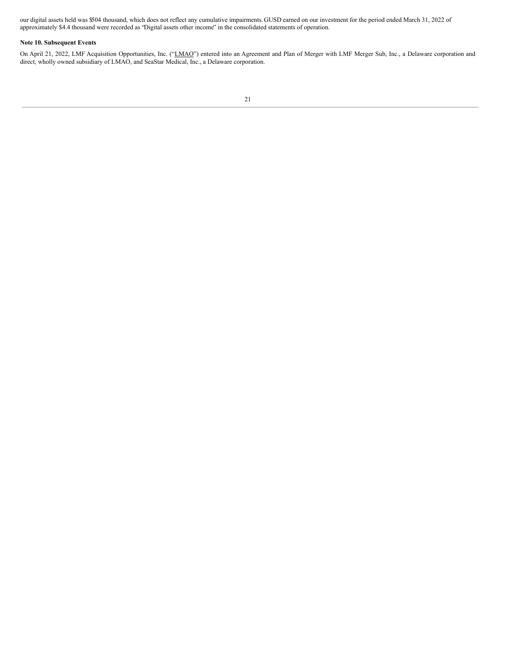our digital assets held was \$504 thousand, which does not reflect any cumulative impairments.GUSD earned on our investment for the period ended March 31, 2022 of approximately \$4.4 thousand were recorded as "Digital assets other income" in the consolidated statements of operation.

# **Note 10. Subsequent Events**

On April 21, 2022, LMF Acquisition Opportunities, Inc. ("LMAO") entered into an Agreement and Plan of Merger with LMF Merger Sub, Inc., a Delaware corporation and direct, wholly owned subsidiary of LMAO, and SeaStar Medical, Inc., a Delaware corporation.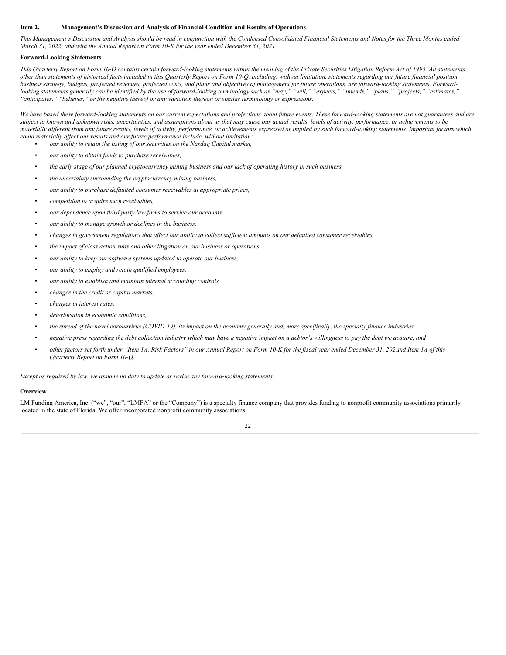## <span id="page-21-0"></span>**Item 2. Management's Discussion and Analysis of Financial Condition and Results of Operations**

This Management's Discussion and Analysis should be read in conjunction with the Condensed Consolidated Financial Statements and Notes for the Three Months ended *March 31, 2022, and with the Annual Report on Form 10-K for the year ended December 31, 2021*

## **Forward-Looking Statements**

This Quarterly Report on Form 10-Q contains certain forward-looking statements within the meaning of the Private Securities Litigation Reform Act of 1995. All statements other than statements of historical facts included in this Quarterly Report on Form 10-Q, including, without limitation, statements regarding our future financial position, business strategy, budgets, projected revenues, projected costs, and plans and objectives of management for future operations, are forward-looking statements. Forwardlooking statements generally can be identified by the use of forward-looking terminology such as "may," "will," "expects," "intends," "plans," "projects," "estimates,' *"anticipates," "believes," or the negative thereof or any variation thereon or similar terminology or expressions.*

We have based these forward-looking statements on our current expectations and projections about future events. These forward-looking statements are not guarantees and are subject to known and unknown risks, uncertainties, and assumptions about us that may cause our actual results, levels of activity, performance, or achievements to be materially different from any future results, levels of activity, performance, or achievements expressed or implied by such forward-looking statements. Important factors which *could materially af ect our results and our future performance include, without limitation:*

- *our ability to retain the listing of our securities on the Nasdaq Capital market,*
- *our ability to obtain funds to purchase receivables,*
- the early stage of our planned cryptocurrency mining business and our lack of operating history in such business,
- *the uncertainty surrounding the cryptocurrency mining business,*
- *our ability to purchase defaulted consumer receivables at appropriate prices,*
- *competition to acquire such receivables,*
- *our dependence upon third party law firms to service our accounts,*
- *our ability to manage growth or declines in the business,*
- changes in government regulations that affect our ability to collect sufficient amounts on our defaulted consumer receivables,
- *the impact of class action suits and other litigation on our business or operations,*
- *our ability to keep our software systems updated to operate our business,*
- *our ability to employ and retain qualified employees,*
- *our ability to establish and maintain internal accounting controls,*
- *changes in the credit or capital markets,*
- *changes in interest rates,*
- *deterioration in economic conditions,*
- the spread of the novel coronavirus (COVID-19), its impact on the economy generally and, more specifically, the specialty finance industries,
- negative press regarding the debt collection industry which may have a negative impact on a debtor's willingness to pay the debt we acquire, and
- other factors set forth under "Item 1A. Risk Factors" in our Annual Report on Form 10-K for the fiscal year ended December 31, 202 and Item 1A of this *Quarterly Report on Form 10-Q.*

*Except as required by law, we assume no duty to update or revise any forward-looking statements.*

## **Overview**

LM Funding America, Inc. ("we", "our", "LMFA" or the "Company") is a specialty finance company that provides funding to nonprofit community associations primarily located in the state of Florida. We offer incorporated nonprofit community associations,

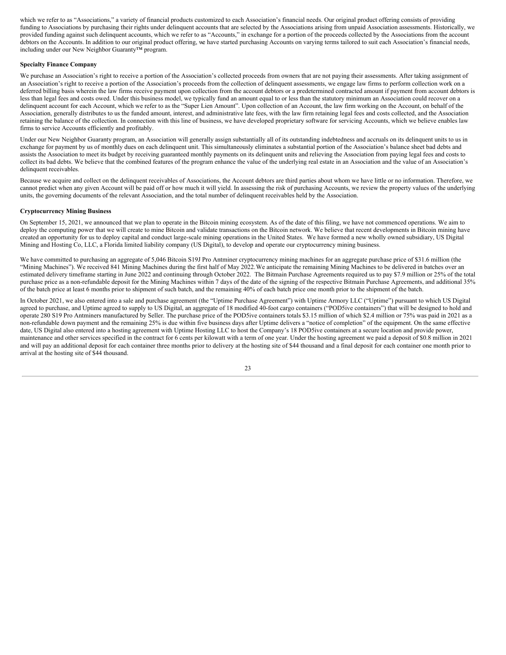which we refer to as "Associations," a variety of financial products customized to each Association's financial needs. Our original product offering consists of providing funding to Associations by purchasing their rights under delinquent accounts that are selected by the Associations arising from unpaid Association assessments. Historically, we provided funding against such delinquent accounts, which we refer to as "Accounts," in exchange for a portion of the proceeds collected by the Associations from the account debtors on the Accounts. In addition to our original product offering, we have started purchasing Accounts on varying terms tailored to suit each Association's financial needs, including under our New Neighbor Guaranty™ program.

## **Specialty Finance Company**

We purchase an Association's right to receive a portion of the Association's collected proceeds from owners that are not paying their assessments. After taking assignment of an Association's right to receive a portion of the Association's proceeds from the collection of delinquent assessments, we engage law firms to perform collection work on a deferred billing basis wherein the law firms receive payment upon collection from the account debtors or a predetermined contracted amount if payment from account debtors is less than legal fees and costs owed. Under this business model, we typically fund an amount equal to or less than the statutory minimum an Association could recover on a delinquent account for each Account, which we refer to as the "Super Lien Amount". Upon collection of an Account, the law firm working on the Account, on behalf of the Association, generally distributes to us the funded amount, interest, and administrative late fees, with the law firm retaining legal fees and costs collected, and the Association retaining the balance of the collection. In connection with this line of business, we have developed proprietary software for servicing Accounts, which we believe enables law firms to service Accounts efficiently and profitably.

Under our New Neighbor Guaranty program, an Association will generally assign substantially all of its outstanding indebtedness and accruals on its delinquent units to us in exchange for payment by us of monthly dues on each delinquent unit. This simultaneously eliminates a substantial portion of the Association's balance sheet bad debts and assists the Association to meet its budget by receiving guaranteed monthly payments on its delinquent units and relieving the Association from paying legal fees and costs to collect its bad debts. We believe that the combined features of the program enhance the value of the underlying real estate in an Association and the value of an Association's delinquent receivables.

Because we acquire and collect on the delinquent receivables of Associations, the Account debtors are third parties about whom we have little or no information. Therefore, we cannot predict when any given Account will be paid off or how much it will yield. In assessing the risk of purchasing Accounts, we review the property values of the underlying units, the governing documents of the relevant Association, and the total number of delinquent receivables held by the Association.

## **Cryptocurrency Mining Business**

On September 15, 2021, we announced that we plan to operate in the Bitcoin mining ecosystem. As of the date of this filing, we have not commenced operations. We aim to deploy the computing power that we will create to mine Bitcoin and validate transactions on the Bitcoin network. We believe that recent developments in Bitcoin mining have created an opportunity for us to deploy capital and conduct large-scale mining operations in the United States. We have formed a new wholly owned subsidiary, US Digital Mining and Hosting Co, LLC, a Florida limited liability company (US Digital), to develop and operate our cryptocurrency mining business.

We have committed to purchasing an aggregate of 5,046 Bitcoin S19J Pro Antminer cryptocurrency mining machines for an aggregate purchase price of \$31.6 million (the "Mining Machines"). We received 841 Mining Machines during the first half of May 2022.We anticipate the remaining Mining Machines to be delivered in batches over an estimated delivery timeframe starting in June 2022 and continuing through October 2022. The Bitmain Purchase Agreements required us to pay \$7.9 million or 25% of the total purchase price as a non-refundable deposit for the Mining Machines within 7 days of the date of the signing of the respective Bitmain Purchase Agreements, and additional 35% of the batch price at least 6 months prior to shipment of such batch, and the remaining 40% of each batch price one month prior to the shipment of the batch.

In October 2021, we also entered into a sale and purchase agreement (the "Uptime Purchase Agreement") with Uptime Armory LLC ("Uptime") pursuant to which US Digital agreed to purchase, and Uptime agreed to supply to US Digital, an aggregate of 18 modified 40-foot cargo containers ("POD5ive containers") that will be designed to hold and operate 280 S19 Pro Antminers manufactured by Seller. The purchase price of the POD5ive containers totals \$3.15 million of which \$2.4 million or 75% was paid in 2021 as a non-refundable down payment and the remaining 25% is due within five business days after Uptime delivers a "notice of completion" of the equipment. On the same effective date, US Digital also entered into a hosting agreement with Uptime Hosting LLC to host the Company's 18 POD5ive containers at a secure location and provide power, maintenance and other services specified in the contract for 6 cents per kilowatt with a term of one year. Under the hosting agreement we paid a deposit of \$0.8 million in 2021 and will pay an additional deposit for each container three months prior to delivery at the hosting site of \$44 thousand and a final deposit for each container one month prior to arrival at the hosting site of \$44 thousand.

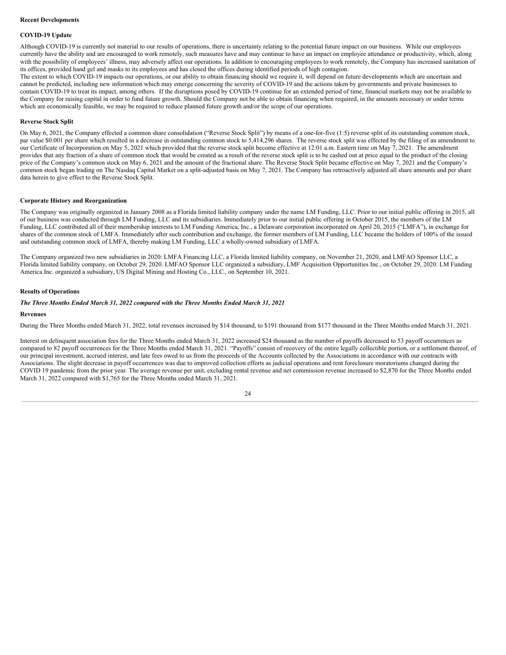#### **Recent Developments**

### **COVID-19 Update**

Although COVID-19 is currently not material to our results of operations, there is uncertainty relating to the potential future impact on our business. While our employees currently have the ability and are encouraged to work remotely, such measures have and may continue to have an impact on employee attendance or productivity, which, along with the possibility of employees' illness, may adversely affect our operations. In addition to encouraging employees to work remotely, the Company has increased sanitation of its offices, provided hand gel and masks to its employees and has closed the offices during identified periods of high contagion.

The extent to which COVID-19 impacts our operations, or our ability to obtain financing should we require it, will depend on future developments which are uncertain and cannot be predicted, including new information which may emerge concerning the severity of COVID-19 and the actions taken by governments and private businesses to contain COVID-19 to treat its impact, among others. If the disruptions posed by COVID-19 continue for an extended period of time, financial markets may not be available to the Company for raising capital in order to fund future growth. Should the Company not be able to obtain financing when required, in the amounts necessary or under terms which are economically feasible, we may be required to reduce planned future growth and/or the scope of our operations.

#### **Reverse Stock Split**

On May 6, 2021, the Company effected a common share consolidation ("Reverse Stock Split") by means of a one-for-five (1:5) reverse split of its outstanding common stock, par value \$0.001 per share which resulted in a decrease in outstanding common stock to  $\frac{5}{4}44,296$  shares. The reverse stock split was effected by the filing of an amendment to our Certificate of Incorporation on May 5, 2021 which provided that the reverse stock split become effective at 12:01 a.m. Eastern time on May 7, 2021. The amendment provides that any fraction of a share of common stock that would be created as a result of the reverse stock split is to be cashed out at price equal to the product of the closing price of the Company's common stock on May 6, 2021 and the amount of the fractional share. The Reverse Stock Split became effective on May 7, 2021 and the Company's common stock began trading on The Nasdaq Capital Market on a split-adjusted basis on May 7, 2021. The Company has retroactively adjusted all share amounts and per share data herein to give effect to the Reverse Stock Split.

### **Corporate History and Reorganization**

The Company was originally organized in January 2008 as a Florida limited liability company under the name LM Funding, LLC. Prior to our initial public offering in 2015, all of our business was conducted through LM Funding, LLC and its subsidiaries. Immediately prior to our initial public offering in October 2015, the members of the LM Funding, LLC contributed all of their membership interests to LM Funding America, Inc., a Delaware corporation incorporated on April 20, 2015 ("LMFA"), in exchange for shares of the common stock of LMFA. Immediately after such contribution and exchange, the former members of LM Funding, LLC became the holders of 100% of the issued and outstanding common stock of LMFA, thereby making LM Funding, LLC a wholly-owned subsidiary of LMFA.

The Company organized two new subsidiaries in 2020: LMFA Financing LLC, a Florida limited liability company, on November 21, 2020, and LMFAO Sponsor LLC, a Florida limited liability company, on October 29, 2020. LMFAO Sponsor LLC organized a subsidiary, LMF Acquisition Opportunities Inc., on October 29, 2020. LM Funding America Inc. organized a subsidiary, US Digital Mining and Hosting Co., LLC., on September 10, 2021.

## **Results of Operations**

#### *The Three Months Ended March 31, 2022 compared with the Three Months Ended March 31, 2021*

#### **Revenues**

During the Three Months ended March 31, 2022, total revenues increased by \$14 thousand, to \$191 thousand from \$177 thousand in the Three Months ended March 31, 2021.

Interest on delinquent association fees for the Three Months ended March 31, 2022 increased \$24 thousand as the number of payoffs decreased to 53 payoff occurrences as compared to 82 payoff occurrences for the Three Months ended March 31, 2021. "Payoffs" consist of recovery of the entire legally collectible portion, or a settlement thereof, of our principal investment, accrued interest, and late fees owed to us from the proceeds of the Accounts collected by the Associations in accordance with our contracts with Associations. The slight decrease in payoff occurrences was due to improved collection efforts as judicial operations and rent foreclosure moratoriums changed during the COVID 19 pandemic from the prior year. The average revenue per unit, excluding rental revenue and net commission revenue increased to \$2,870 for the Three Months ended March 31, 2022 compared with \$1,765 for the Three Months ended March 31, 2021.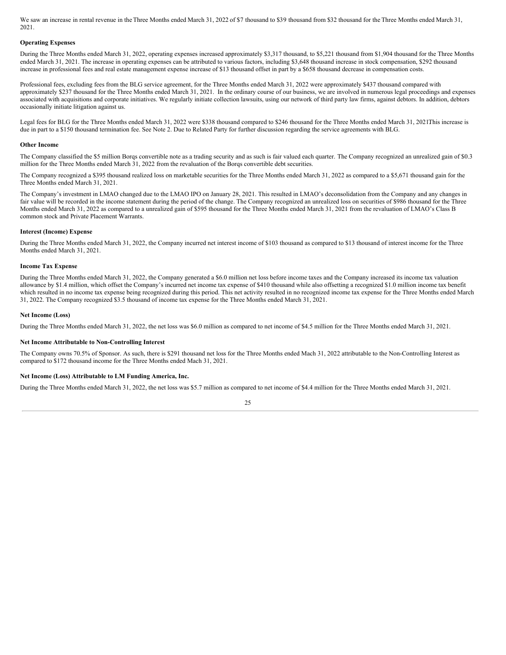We saw an increase in rental revenue in the Three Months ended March 31, 2022 of \$7 thousand to \$39 thousand from \$32 thousand for the Three Months ended March 31, 2021.

#### **Operating Expenses**

During the Three Months ended March 31, 2022, operating expenses increased approximately \$3,317 thousand, to \$5,221 thousand from \$1,904 thousand for the Three Months ended March 31, 2021. The increase in operating expenses can be attributed to various factors, including \$3,648 thousand increase in stock compensation, \$292 thousand increase in professional fees and real estate management expense increase of \$13 thousand offset in part by a \$658 thousand decrease in compensation costs.

Professional fees, excluding fees from the BLG service agreement, for the Three Months ended March 31, 2022 were approximately \$437 thousand compared with approximately \$237 thousand for the Three Months ended March 31, 2021. In the ordinary course of our business, we are involved in numerous legal proceedings and expenses associated with acquisitions and corporate initiatives. We regularly initiate collection lawsuits, using our network of third party law firms, against debtors. In addition, debtors occasionally initiate litigation against us.

Legal fees for BLG for the Three Months ended March 31, 2022 were \$338 thousand compared to \$246 thousand for the Three Months ended March 31, 2021This increase is due in part to a \$150 thousand termination fee. See Note 2. Due to Related Party for further discussion regarding the service agreements with BLG.

#### **Other Income**

The Company classified the \$5 million Borqs convertible note as a trading security and as such is fair valued each quarter. The Company recognized an unrealized gain of \$0.3 million for the Three Months ended March 31, 2022 from the revaluation of the Borqs convertible debt securities.

The Company recognized a \$395 thousand realized loss on marketable securities for the Three Months ended March 31, 2022 as compared to a \$5,671 thousand gain for the Three Months ended March 31, 2021.

The Company's investment in LMAO changed due to the LMAO IPO on January 28, 2021. This resulted in LMAO's deconsolidation from the Company and any changes in fair value will be recorded in the income statement during the period of the change. The Company recognized an unrealized loss on securities of \$986 thousand for the Three Months ended March 31, 2022 as compared to a unrealized gain of \$595 thousand for the Three Months ended March 31, 2021 from the revaluation of LMAO's Class B common stock and Private Placement Warrants.

## **Interest (Income) Expense**

During the Three Months ended March 31, 2022, the Company incurred net interest income of \$103 thousand as compared to \$13 thousand of interest income for the Three Months ended March 31, 2021.

#### **Income Tax Expense**

During the Three Months ended March 31, 2022, the Company generated a \$6.0 million net loss before income taxes and the Company increased its income tax valuation allowance by \$1.4 million, which offset the Company's incurred net income tax expense of \$410 thousand while also offsetting a recognized \$1.0 million income tax benefit which resulted in no income tax expense being recognized during this period. This net activity resulted in no recognized income tax expense for the Three Months ended March 31, 2022. The Company recognized \$3.5 thousand of income tax expense for the Three Months ended March 31, 2021.

## **Net Income (Loss)**

During the Three Months ended March 31, 2022, the net loss was \$6.0 million as compared to net income of \$4.5 million for the Three Months ended March 31, 2021.

## **Net Income Attributable to Non-Controlling Interest**

The Company owns 70.5% of Sponsor. As such, there is \$291 thousand net loss for the Three Months ended Mach 31, 2022 attributable to the Non-Controlling Interest as compared to \$172 thousand income for the Three Months ended Mach 31, 2021.

## **Net Income (Loss) Attributable to LM Funding America, Inc.**

During the Three Months ended March 31, 2022, the net loss was \$5.7 million as compared to net income of \$4.4 million for the Three Months ended March 31, 2021.

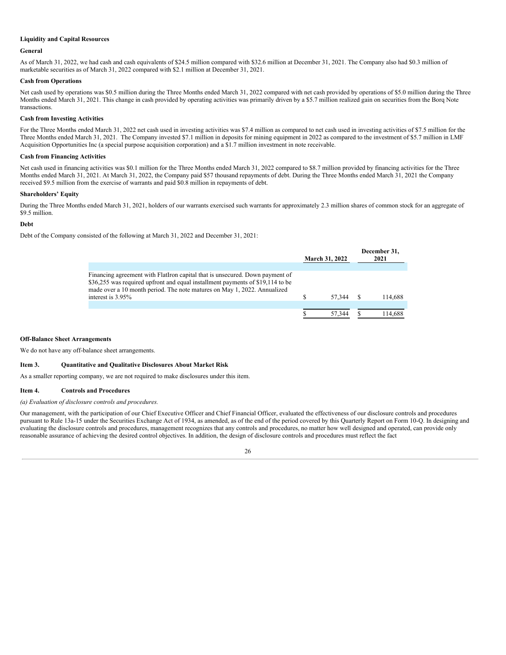## **Liquidity and Capital Resources**

#### **General**

As of March 31, 2022, we had cash and cash equivalents of \$24.5 million compared with \$32.6 million at December 31, 2021. The Company also had \$0.3 million of marketable securities as of March 31, 2022 compared with \$2.1 million at December 31, 2021.

## **Cash from Operations**

Net cash used by operations was \$0.5 million during the Three Months ended March 31, 2022 compared with net cash provided by operations of \$5.0 million during the Three Months ended March 31, 2021. This change in cash provided by operating activities was primarily driven by a \$5.7 million realized gain on securities from the Borq Note transactions.

#### **Cash from Investing Activities**

For the Three Months ended March 31, 2022 net cash used in investing activities was \$7.4 million as compared to net cash used in investing activities of \$7.5 million for the Three Months ended March 31, 2021. The Company invested \$7.1 million in deposits for mining equipment in 2022 as compared to the investment of \$5.7 million in LMF Acquisition Opportunities Inc (a special purpose acquisition corporation) and a \$1.7 million investment in note receivable.

#### **Cash from Financing Activities**

Net cash used in financing activities was \$0.1 million for the Three Months ended March 31, 2022 compared to \$8.7 million provided by financing activities for the Three Months ended March 31, 2021. At March 31, 2022, the Company paid \$57 thousand repayments of debt. During the Three Months ended March 31, 2021 the Company received \$9.5 million from the exercise of warrants and paid \$0.8 million in repayments of debt.

#### **Shareholders' Equity**

During the Three Months ended March 31, 2021, holders of our warrants exercised such warrants for approximately 2.3 million shares of common stock for an aggregate of \$9.5 million.

#### **Debt**

Debt of the Company consisted of the following at March 31, 2022 and December 31, 2021:

|                                                                                                                                                                                                                                                                 | <b>March 31, 2022</b> | December 31.<br>2021 |
|-----------------------------------------------------------------------------------------------------------------------------------------------------------------------------------------------------------------------------------------------------------------|-----------------------|----------------------|
| Financing agreement with FlatIron capital that is unsecured. Down payment of<br>\$36,255 was required upfront and equal installment payments of \$19,114 to be<br>made over a 10 month period. The note matures on May 1, 2022. Annualized<br>interest is 3.95% | 57.344                | 114.688              |
|                                                                                                                                                                                                                                                                 |                       |                      |
|                                                                                                                                                                                                                                                                 | 57.344                | 114.688              |

#### **Off-Balance Sheet Arrangements**

We do not have any off-balance sheet arrangements.

## <span id="page-25-0"></span>**Item 3. Quantitative and Qualitative Disclosures About Market Risk**

As a smaller reporting company, we are not required to make disclosures under this item.

### <span id="page-25-1"></span>**Item 4. Controls and Procedures**

*(a) Evaluation of disclosure controls and procedures.*

Our management, with the participation of our Chief Executive Officer and Chief Financial Officer, evaluated the effectiveness of our disclosure controls and procedures pursuant to Rule 13a-15 under the Securities Exchange Act of 1934, as amended, as of the end of the period covered by this Quarterly Report on Form 10-Q. In designing and evaluating the disclosure controls and procedures, management recognizes that any controls and procedures, no matter how well designed and operated, can provide only reasonable assurance of achieving the desired control objectives. In addition, the design of disclosure controls and procedures must reflect the fact

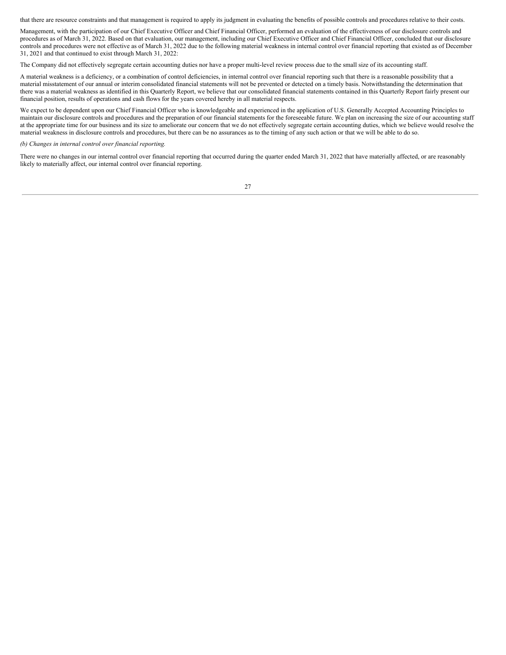that there are resource constraints and that management is required to apply its judgment in evaluating the benefits of possible controls and procedures relative to their costs.

Management, with the participation of our Chief Executive Officer and Chief Financial Officer, performed an evaluation of the effectiveness of our disclosure controls and procedures as of March 31, 2022. Based on that evaluation, our management, including our Chief Executive Officer and Chief Financial Officer, concluded that our disclosure controls and procedures were not effective as of March 31, 2022 due to the following material weakness in internal control over financial reporting that existed as of December 31, 2021 and that continued to exist through March 31, 2022:

The Company did not effectively segregate certain accounting duties nor have a proper multi-level review process due to the small size of its accounting staff.

A material weakness is a deficiency, or a combination of control deficiencies, in internal control over financial reporting such that there is a reasonable possibility that a material misstatement of our annual or interim consolidated financial statements will not be prevented or detected on a timely basis. Notwithstanding the determination that there was a material weakness as identified in this Quarterly Report, we believe that our consolidated financial statements contained in this Quarterly Report fairly present our financial position, results of operations and cash flows for the years covered hereby in all material respects.

We expect to be dependent upon our Chief Financial Officer who is knowledgeable and experienced in the application of U.S. Generally Accepted Accounting Principles to maintain our disclosure controls and procedures and the preparation of our financial statements for the foreseeable future. We plan on increasing the size of our accounting staff at the appropriate time for our business and its size to ameliorate our concern that we do not effectively segregate certain accounting duties, which we believe would resolve the material weakness in disclosure controls and procedures, but there can be no assurances as to the timing of any such action or that we will be able to do so.

#### *(b) Changes in internal control over financial reporting.*

There were no changes in our internal control over financial reporting that occurred during the quarter ended March 31, 2022 that have materially affected, or are reasonably likely to materially affect, our internal control over financial reporting.

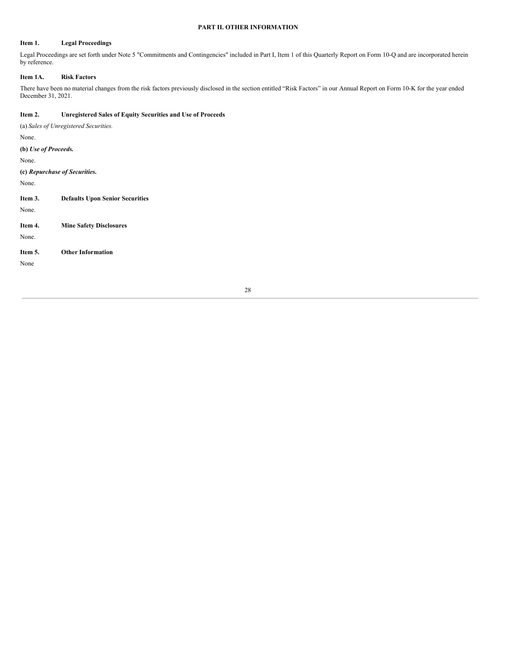# **PART II. OTHER INFORMATION**

### <span id="page-27-1"></span><span id="page-27-0"></span>**Item 1. Legal Proceedings**

Legal Proceedings are set forth under Note 5 "Commitments and Contingencies" included in Part I, Item 1 of this Quarterly Report on Form 10-Q and are incorporated herein by reference.

# <span id="page-27-2"></span>**Item 1A. Risk Factors**

There have been no material changes from the risk factors previously disclosed in the section entitled "Risk Factors" in our Annual Report on Form 10-K for the year ended December 31, 2021.

# <span id="page-27-3"></span>**Item 2. Unregistered Sales of Equity Securities and Use of Proceeds**

(a) *Sales of Unregistered Securities.*

None.

# **(b)** *Use of Proceeds.*

None.

**(c)** *Repurchase of Securities***.**

None.

<span id="page-27-4"></span>**Item 3. Defaults Upon Senior Securities**

None.

**Item 4. Mine Safety Disclosures**

None.

# <span id="page-27-5"></span>**Item 5. Other Information**

None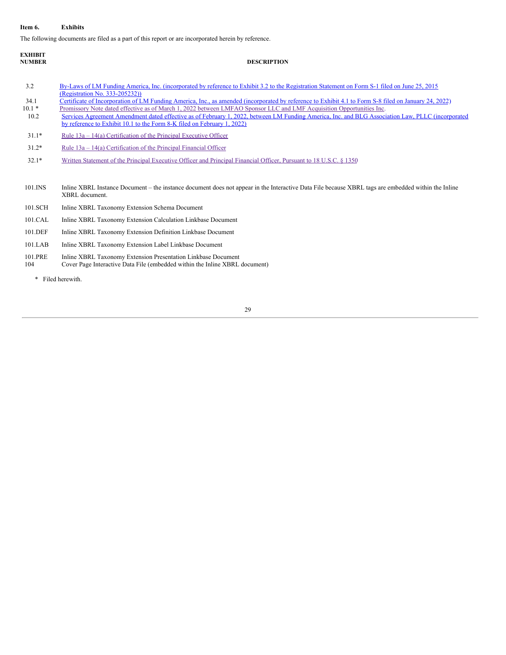# <span id="page-28-0"></span>**Item 6. Exhibits**

The following documents are filed as a part of this report or are incorporated herein by reference.

| <b>EXHIBIT</b><br><b>NUMBER</b> | <b>DESCRIPTION</b>                                                                                                                                                                                                                                                                                                                                                                                                                                                                                            |
|---------------------------------|---------------------------------------------------------------------------------------------------------------------------------------------------------------------------------------------------------------------------------------------------------------------------------------------------------------------------------------------------------------------------------------------------------------------------------------------------------------------------------------------------------------|
| 3.2                             | By-Laws of LM Funding America, Inc. (incorporated by reference to Exhibit 3.2 to the Registration Statement on Form S-1 filed on June 25, 2015<br>(Registration No. 333-205232))                                                                                                                                                                                                                                                                                                                              |
| 34.1<br>$10.1*$<br>10.2         | Certificate of Incorporation of LM Funding America, Inc., as amended (incorporated by reference to Exhibit 4.1 to Form S-8 filed on January 24, 2022)<br>Promissory Note dated effective as of March 1, 2022 between LMFAO Sponsor LLC and LMF Acquisition Opportunities Inc.<br>Services Agreement Amendment dated effective as of February 1, 2022, between LM Funding America, Inc. and BLG Association Law, PLLC (incorporated<br>by reference to Exhibit 10.1 to the Form 8-K filed on February 1, 2022) |
| $31.1*$                         | Rule $13a - 14(a)$ Certification of the Principal Executive Officer                                                                                                                                                                                                                                                                                                                                                                                                                                           |
| $31.2*$                         | Rule $13a - 14(a)$ Certification of the Principal Financial Officer                                                                                                                                                                                                                                                                                                                                                                                                                                           |
| $32.1*$                         | Written Statement of the Principal Executive Officer and Principal Financial Officer, Pursuant to 18 U.S.C. § 1350                                                                                                                                                                                                                                                                                                                                                                                            |
|                                 |                                                                                                                                                                                                                                                                                                                                                                                                                                                                                                               |
| 101.INS                         | Inline XBRL Instance Document – the instance document does not appear in the Interactive Data File because XBRL tags are embedded within the Inline<br>XBRL document.                                                                                                                                                                                                                                                                                                                                         |
| 101.SCH                         | Inline XBRL Taxonomy Extension Schema Document                                                                                                                                                                                                                                                                                                                                                                                                                                                                |
| 101.CAL                         | Inline XBRL Taxonomy Extension Calculation Linkbase Document                                                                                                                                                                                                                                                                                                                                                                                                                                                  |
| 101.DEF                         | Inline XBRL Taxonomy Extension Definition Linkbase Document                                                                                                                                                                                                                                                                                                                                                                                                                                                   |

- 101.LAB Inline XBRL Taxonomy Extension Label Linkbase Document
- 101.PRE Inline XBRL Taxonomy Extension Presentation Linkbase Document<br>104 Cover Page Interactive Data File (embedded within the Inline XBRL Cover Page Interactive Data File (embedded within the Inline XBRL document)
	- \* Filed herewith.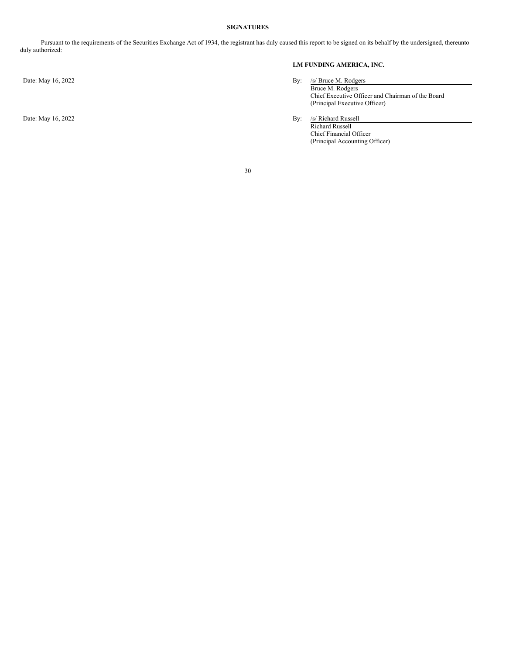# **SIGNATURES**

<span id="page-29-0"></span>Pursuant to the requirements of the Securities Exchange Act of 1934, the registrant has duly caused this report to be signed on its behalf by the undersigned, thereunto duly authorized:

Date: May 16, 2022

# **LM FUNDING AMERICA, INC.**

| /s/ Bruce M. Rodgers<br>Bruce M. Rodgers          |
|---------------------------------------------------|
|                                                   |
| Chief Executive Officer and Chairman of the Board |
| (Principal Executive Officer)                     |

Date: May 16, 2022 By: /s/ Richard Russell Richard Russell Chief Financial Officer (Principal Accounting Officer)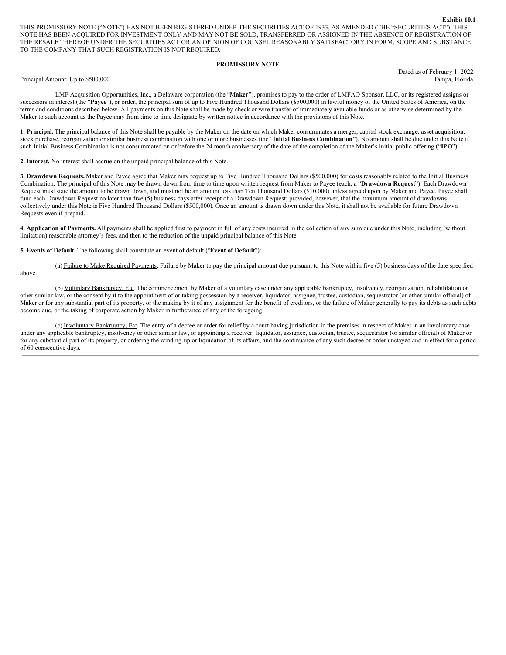THIS PROMISSORY NOTE ("NOTE") HAS NOT BEEN REGISTERED UNDER THE SECURITIES ACT OF 1933, AS AMENDED (THE "SECURITIES ACT"). THIS NOTE HAS BEEN ACQUIRED FOR INVESTMENT ONLY AND MAY NOT BE SOLD, TRANSFERRED OR ASSIGNED IN THE ABSENCE OF REGISTRATION OF THE RESALE THEREOF UNDER THE SECURITIES ACT OR AN OPINION OF COUNSEL REASONABLY SATISFACTORY IN FORM, SCOPE AND SUBSTANCE TO THE COMPANY THAT SUCH REGISTRATION IS NOT REQUIRED.

#### **PROMISSORY NOTE**

#### Principal Amount: Up to \$500,000

Dated as of February 1, 2022 Tampa, Florida

LMF Acquisition Opportunities, Inc., a Delaware corporation (the "**Maker**"), promises to pay to the order of LMFAO Sponsor, LLC, or its registered assigns or successors in interest (the "Payee"), or order, the principal sum of up to Five Hundred Thousand Dollars (\$500,000) in lawful money of the United States of America, on the terms and conditions described below. All payments on this Note shall be made by check or wire transfer of immediately available funds or as otherwise determined by the Maker to such account as the Payee may from time to time designate by written notice in accordance with the provisions of this Note.

**1. Principal.** The principal balance of this Note shall be payable by the Maker on the date on which Maker consummates a merger, capital stock exchange, asset acquisition, stock purchase, reorganization or similar business combination with one or more businesses (the "**Initial Business Combination**"). No amount shall be due under this Note if such Initial Business Combination is not consummated on or before the 24 month anniversary of the date of the completion of the Maker's initial public offering ("IPO").

**2. Interest.** No interest shall accrue on the unpaid principal balance of this Note.

**3. Drawdown Requests.** Maker and Payee agree that Maker may request up to Five Hundred Thousand Dollars (\$500,000) for costs reasonably related to the Initial Business Combination. The principal of this Note may be drawn down from time to time upon written request from Maker to Payee (each, a "**Drawdown Request**"). Each Drawdown Request must state the amount to be drawn down, and must not be an amount less than Ten Thousand Dollars (\$10,000) unless agreed upon by Maker and Payee. Payee shall fund each Drawdown Request no later than five (5) business days after receipt of a Drawdown Request; provided, however, that the maximum amount of drawdowns collectively under this Note is Five Hundred Thousand Dollars (\$500,000). Once an amount is drawn down under this Note, it shall not be available for future Drawdown Requests even if prepaid.

**4. Application of Payments.** All payments shall be applied first to payment in full of any costs incurred in the collection of any sum due under this Note, including (without limitation) reasonable attorney's fees, and then to the reduction of the unpaid principal balance of this Note.

**5. Events of Default.** The following shall constitute an event of default ("**Event of Default**"):

(a) Failure to Make Required Payments. Failure by Maker to pay the principal amount due pursuant to this Note within five (5) business days of the date specified above.

(b) Voluntary Bankruptcy, Etc. The commencement by Maker of a voluntary case under any applicable bankruptcy, insolvency, reorganization, rehabilitation or other similar law, or the consent by it to the appointment of or taking possession by a receiver, liquidator, assignee, trustee, custodian, sequestrator (or other similar official) of Maker or for any substantial part of its property, or the making by it of any assignment for the benefit of creditors, or the failure of Maker generally to pay its debts as such debts become due, or the taking of corporate action by Maker in furtherance of any of the foregoing.

(c) Involuntary Bankruptcy, Etc. The entry of a decree or order for relief by a court having jurisdiction in the premises in respect of Maker in an involuntary case under any applicable bankruptcy, insolvency or other similar law, or appointing a receiver, liquidator, assignee, custodian, trustee, sequestrator (or similar official) of Maker or for any substantial part of its property, or ordering the winding-up or liquidation of its affairs, and the continuance of any such decree or order unstayed and in effect for a period of 60 consecutive days.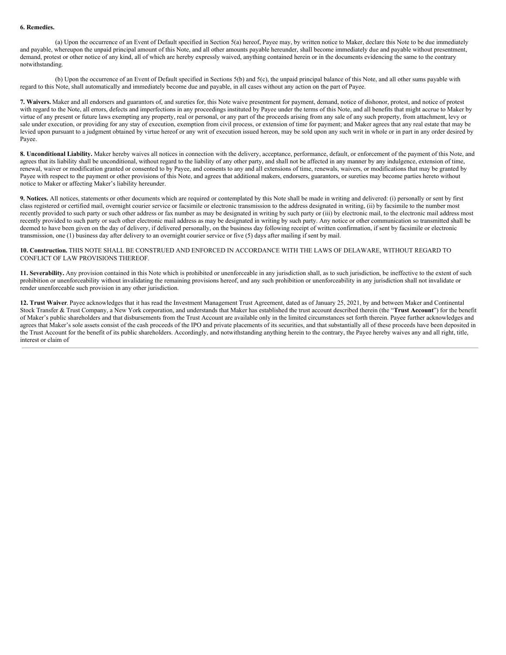#### <span id="page-31-0"></span>**6. Remedies.**

(a) Upon the occurrence of an Event of Default specified in Section 5(a) hereof, Payee may, by written notice to Maker, declare this Note to be due immediately and payable, whereupon the unpaid principal amount of this Note, and all other amounts payable hereunder, shall become immediately due and payable without presentment, demand, protest or other notice of any kind, all of which are hereby expressly waived, anything contained herein or in the documents evidencing the same to the contrary notwithstanding.

(b) Upon the occurrence of an Event of Default specified in Sections 5(b) and 5(c), the unpaid principal balance of this Note, and all other sums payable with regard to this Note, shall automatically and immediately become due and payable, in all cases without any action on the part of Payee.

**7. Waivers.** Maker and all endorsers and guarantors of, and sureties for, this Note waive presentment for payment, demand, notice of dishonor, protest, and notice of protest with regard to the Note, all errors, defects and imperfections in any proceedings instituted by Payee under the terms of this Note, and all benefits that might accrue to Maker by virtue of any present or future laws exempting any property, real or personal, or any part of the proceeds arising from any sale of any such property, from attachment, levy or sale under execution, or providing for any stay of execution, exemption from civil process, or extension of time for payment; and Maker agrees that any real estate that may be levied upon pursuant to a judgment obtained by virtue hereof or any writ of execution issued hereon, may be sold upon any such writ in whole or in part in any order desired by Payee.

**8. Unconditional Liability.** Maker hereby waives all notices in connection with the delivery, acceptance, performance, default, or enforcement of the payment of this Note, and agrees that its liability shall be unconditional, without regard to the liability of any other party, and shall not be affected in any manner by any indulgence, extension of time, renewal, waiver or modification granted or consented to by Payee, and consents to any and all extensions of time, renewals, waivers, or modifications that may be granted by Payee with respect to the payment or other provisions of this Note, and agrees that additional makers, endorsers, guarantors, or sureties may become parties hereto without notice to Maker or affecting Maker's liability hereunder.

**9. Notices.** All notices, statements or other documents which are required or contemplated by this Note shall be made in writing and delivered: (i) personally or sent by first class registered or certified mail, overnight courier service or facsimile or electronic transmission to the address designated in writing, (ii) by facsimile to the number most recently provided to such party or such other address or fax number as may be designated in writing by such party or (iii) by electronic mail, to the electronic mail address most recently provided to such party or such other electronic mail address as may be designated in writing by such party. Any notice or other communication so transmitted shall be deemed to have been given on the day of delivery, if delivered personally, on the business day following receipt of written confirmation, if sent by facsimile or electronic transmission, one (1) business day after delivery to an overnight courier service or five (5) days after mailing if sent by mail.

**10. Construction.** THIS NOTE SHALL BE CONSTRUED AND ENFORCED IN ACCORDANCE WITH THE LAWS OF DELAWARE, WITHOUT REGARD TO CONFLICT OF LAW PROVISIONS THEREOF.

**11. Severability.** Any provision contained in this Note which is prohibited or unenforceable in any jurisdiction shall, as to such jurisdiction, be ineffective to the extent of such prohibition or unenforceability without invalidating the remaining provisions hereof, and any such prohibition or unenforceability in any jurisdiction shall not invalidate or render unenforceable such provision in any other jurisdiction.

**12. Trust Waiver**. Payee acknowledges that it has read the Investment Management Trust Agreement, dated as of January 25, 2021, by and between Maker and Continental Stock Transfer & Trust Company, a New York corporation, and understands that Maker has established the trust account described therein (the "**Trust Account**") for the benefit of Maker's public shareholders and that disbursements from the Trust Account are available only in the limited circumstances set forth therein. Payee further acknowledges and agrees that Maker's sole assets consist of the cash proceeds of the IPO and private placements of its securities, and that substantially all of these proceeds have been deposited in the Trust Account for the benefit of its public shareholders. Accordingly, and notwithstanding anything herein to the contrary, the Payee hereby waives any and all right, title, interest or claim of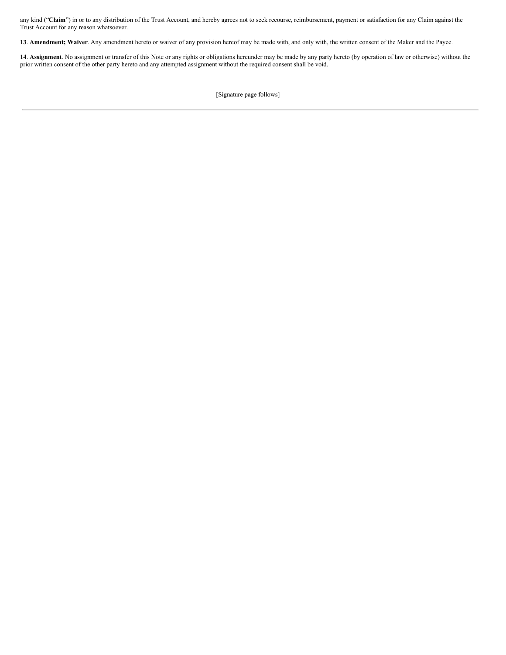any kind ("Claim") in or to any distribution of the Trust Account, and hereby agrees not to seek recourse, reimbursement, payment or satisfaction for any Claim against the Trust Account for any reason whatsoever.

**13**. **Amendment; Waiver**. Any amendment hereto or waiver of any provision hereof may be made with, and only with, the written consent of the Maker and the Payee.

**14**. **Assignment**. No assignment or transfer of this Note or any rights or obligations hereunder may be made by any party hereto (by operation of law or otherwise) without the prior written consent of the other party hereto and any attempted assignment without the required consent shall be void.

[Signature page follows]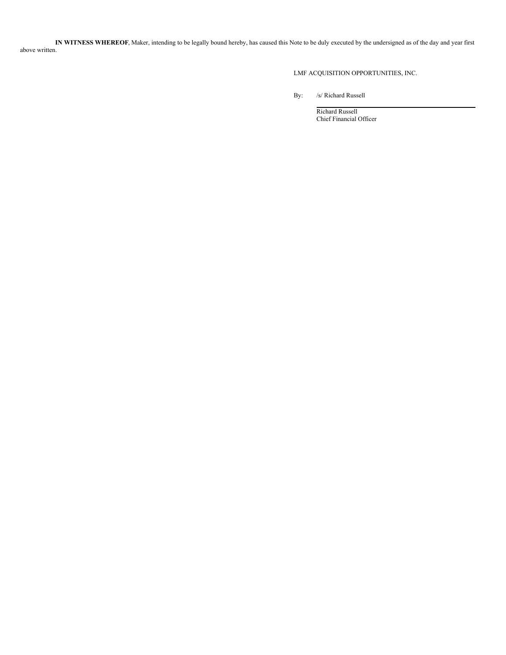**IN WITNESS WHEREOF**, Maker, intending to be legally bound hereby, has caused this Note to be duly executed by the undersigned as of the day and year first above written.

LMF ACQUISITION OPPORTUNITIES, INC.

By: /s/ Richard Russell

Richard Russell Chief Financial Officer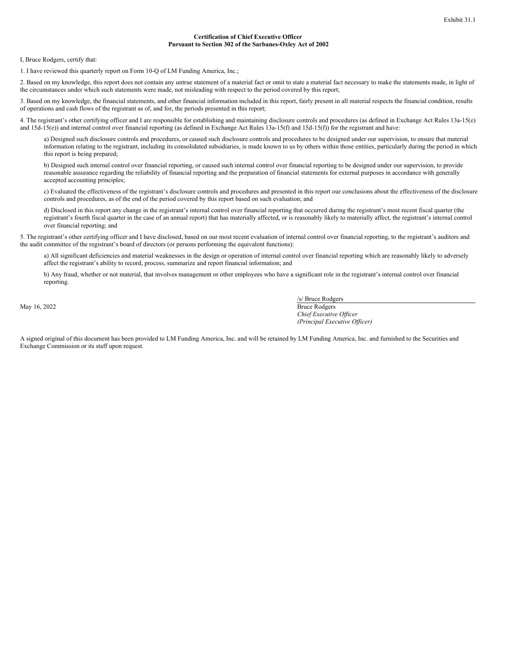## **Certification of Chief Executive Officer Pursuant to Section 302 of the Sarbanes-Oxley Act of 2002**

<span id="page-34-0"></span>I, Bruce Rodgers, certify that:

1. I have reviewed this quarterly report on Form 10-Q of LM Funding America, Inc.;

2. Based on my knowledge, this report does not contain any untrue statement of a material fact or omit to state a material fact necessary to make the statements made, in light of the circumstances under which such statements were made, not misleading with respect to the period covered by this report;

3. Based on my knowledge, the financial statements, and other financial information included in this report, fairly present in all material respects the financial condition, results of operations and cash flows of the registrant as of, and for, the periods presented in this report;

4. The registrant's other certifying officer and I are responsible for establishing and maintaining disclosure controls and procedures (as defined in Exchange Act Rules 13a-15(e) and 15d-15(e)) and internal control over financial reporting (as defined in Exchange Act Rules 13a-15(f) and 15d-15(f)) for the registrant and have:

a) Designed such disclosure controls and procedures, or caused such disclosure controls and procedures to be designed under our supervision, to ensure that material information relating to the registrant, including its consolidated subsidiaries, is made known to us by others within those entities, particularly during the period in which this report is being prepared;

b) Designed such internal control over financial reporting, or caused such internal control over financial reporting to be designed under our supervision, to provide reasonable assurance regarding the reliability of financial reporting and the preparation of financial statements for external purposes in accordance with generally accepted accounting principles;

c) Evaluated the effectiveness of the registrant's disclosure controls and procedures and presented in this report our conclusions about the effectiveness of the disclosure controls and procedures, as of the end of the period covered by this report based on such evaluation; and

d) Disclosed in this report any change in the registrant's internal control over financial reporting that occurred during the registrant's most recent fiscal quarter (the registrant's fourth fiscal quarter in the case of an annual report) that has materially affected, or is reasonably likely to materially affect, the registrant's internal control over financial reporting; and

5. The registrant's other certifying officer and I have disclosed, based on our most recent evaluation of internal control over financial reporting, to the registrant's auditors and the audit committee of the registrant's board of directors (or persons performing the equivalent functions):

a) All significant deficiencies and material weaknesses in the design or operation of internal control over financial reporting which are reasonably likely to adversely affect the registrant's ability to record, process, summarize and report financial information; and

b) Any fraud, whether or not material, that involves management or other employees who have a significant role in the registrant's internal control over financial reporting.

/s/ Bruce Rodgers May 16, 2022 Bruce Rodgers *Chief Executive Of icer (Principal Executive Of icer)*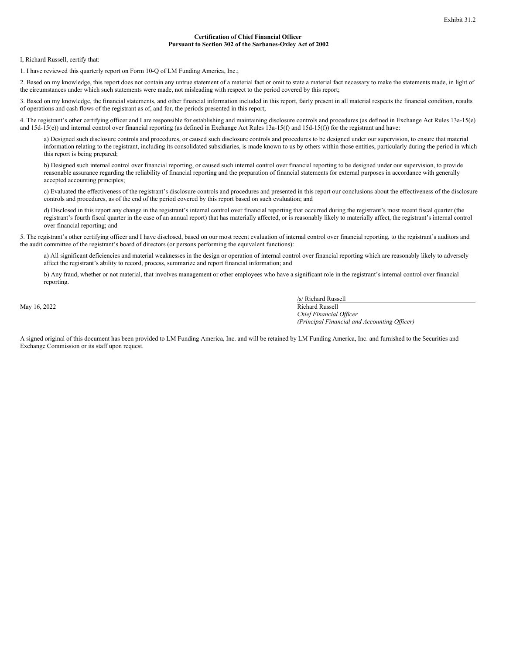## **Certification of Chief Financial Officer Pursuant to Section 302 of the Sarbanes-Oxley Act of 2002**

<span id="page-35-0"></span>I, Richard Russell, certify that:

1. I have reviewed this quarterly report on Form 10-Q of LM Funding America, Inc.;

2. Based on my knowledge, this report does not contain any untrue statement of a material fact or omit to state a material fact necessary to make the statements made, in light of the circumstances under which such statements were made, not misleading with respect to the period covered by this report;

3. Based on my knowledge, the financial statements, and other financial information included in this report, fairly present in all material respects the financial condition, results of operations and cash flows of the registrant as of, and for, the periods presented in this report;

4. The registrant's other certifying officer and I are responsible for establishing and maintaining disclosure controls and procedures (as defined in Exchange Act Rules 13a-15(e) and 15d-15(e)) and internal control over financial reporting (as defined in Exchange Act Rules 13a-15(f) and 15d-15(f)) for the registrant and have:

a) Designed such disclosure controls and procedures, or caused such disclosure controls and procedures to be designed under our supervision, to ensure that material information relating to the registrant, including its consolidated subsidiaries, is made known to us by others within those entities, particularly during the period in which this report is being prepared;

b) Designed such internal control over financial reporting, or caused such internal control over financial reporting to be designed under our supervision, to provide reasonable assurance regarding the reliability of financial reporting and the preparation of financial statements for external purposes in accordance with generally accepted accounting principles;

c) Evaluated the effectiveness of the registrant's disclosure controls and procedures and presented in this report our conclusions about the effectiveness of the disclosure controls and procedures, as of the end of the period covered by this report based on such evaluation; and

d) Disclosed in this report any change in the registrant's internal control over financial reporting that occurred during the registrant's most recent fiscal quarter (the registrant's fourth fiscal quarter in the case of an annual report) that has materially affected, or is reasonably likely to materially affect, the registrant's internal control over financial reporting; and

5. The registrant's other certifying officer and I have disclosed, based on our most recent evaluation of internal control over financial reporting, to the registrant's auditors and the audit committee of the registrant's board of directors (or persons performing the equivalent functions):

a) All significant deficiencies and material weaknesses in the design or operation of internal control over financial reporting which are reasonably likely to adversely affect the registrant's ability to record, process, summarize and report financial information; and

b) Any fraud, whether or not material, that involves management or other employees who have a significant role in the registrant's internal control over financial reporting.

/s/ Richard Russell May 16, 2022 Richard Russell *Chief Financial Of icer (Principal Financial and Accounting Of icer)*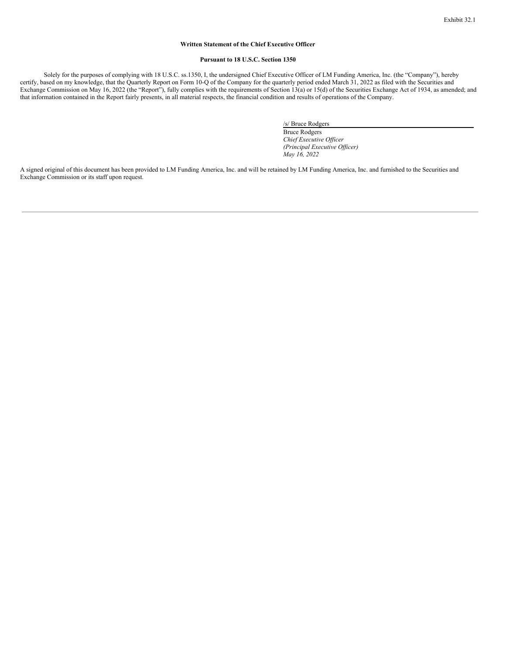## **Written Statement of the Chief Executive Officer**

## **Pursuant to 18 U.S.C. Section 1350**

<span id="page-36-0"></span>Solely for the purposes of complying with 18 U.S.C. ss.1350, I, the undersigned Chief Executive Officer of LM Funding America, Inc. (the "Company"), hereby certify, based on my knowledge, that the Quarterly Report on Form 10-Q of the Company for the quarterly period ended March 31, 2022 as filed with the Securities and Exchange Commission on May 16, 2022 (the "Report"), fully complies with the requirements of Section 13(a) or 15(d) of the Securities Exchange Act of 1934, as amended; and that information contained in the Report fairly presents, in all material respects, the financial condition and results of operations of the Company.

/s/ Bruce Rodgers

Bruce Rodgers *Chief Executive Of icer (Principal Executive Of icer) May 16, 2022*